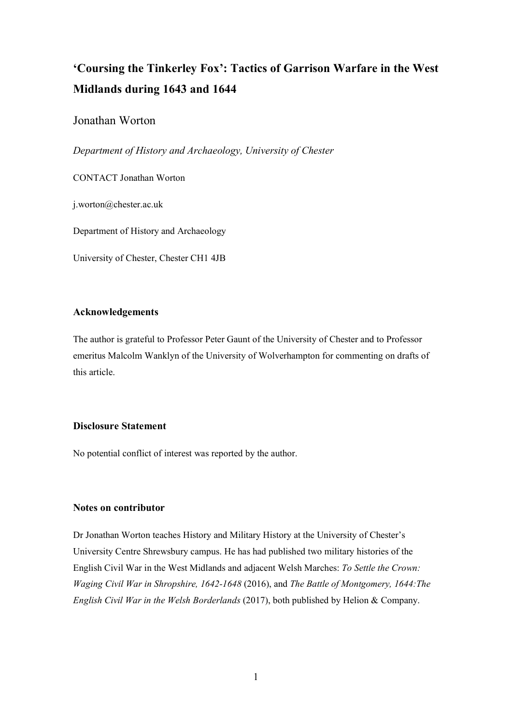# **'Coursing the Tinkerley Fox': Tactics of Garrison Warfare in the West Midlands during 1643 and 1644**

## Jonathan Worton

*Department of History and Archaeology, University of Chester*

CONTACT Jonathan Worton

j.worton@chester.ac.uk

Department of History and Archaeology

University of Chester, Chester CH1 4JB

#### **Acknowledgements**

The author is grateful to Professor Peter Gaunt of the University of Chester and to Professor emeritus Malcolm Wanklyn of the University of Wolverhampton for commenting on drafts of this article.

### **Disclosure Statement**

No potential conflict of interest was reported by the author.

#### **Notes on contributor**

Dr Jonathan Worton teaches History and Military History at the University of Chester's University Centre Shrewsbury campus. He has had published two military histories of the English Civil War in the West Midlands and adjacent Welsh Marches: *To Settle the Crown: Waging Civil War in Shropshire, 1642-1648* (2016), and *The Battle of Montgomery, 1644:The English Civil War in the Welsh Borderlands* (2017), both published by Helion & Company.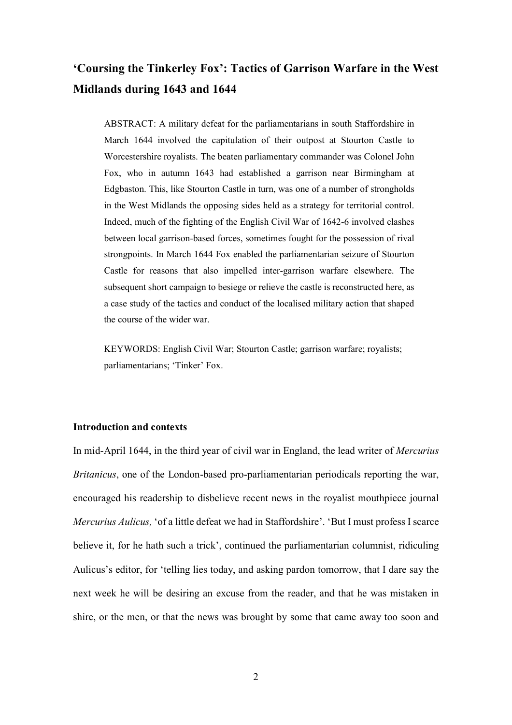# **'Coursing the Tinkerley Fox': Tactics of Garrison Warfare in the West Midlands during 1643 and 1644**

ABSTRACT: A military defeat for the parliamentarians in south Staffordshire in March 1644 involved the capitulation of their outpost at Stourton Castle to Worcestershire royalists. The beaten parliamentary commander was Colonel John Fox, who in autumn 1643 had established a garrison near Birmingham at Edgbaston. This, like Stourton Castle in turn, was one of a number of strongholds in the West Midlands the opposing sides held as a strategy for territorial control. Indeed, much of the fighting of the English Civil War of 1642-6 involved clashes between local garrison-based forces, sometimes fought for the possession of rival strongpoints. In March 1644 Fox enabled the parliamentarian seizure of Stourton Castle for reasons that also impelled inter-garrison warfare elsewhere. The subsequent short campaign to besiege or relieve the castle is reconstructed here, as a case study of the tactics and conduct of the localised military action that shaped the course of the wider war.

KEYWORDS: English Civil War; Stourton Castle; garrison warfare; royalists; parliamentarians; 'Tinker' Fox.

#### **Introduction and contexts**

In mid-April 1644, in the third year of civil war in England, the lead writer of *Mercurius Britanicus*, one of the London-based pro-parliamentarian periodicals reporting the war, encouraged his readership to disbelieve recent news in the royalist mouthpiece journal *Mercurius Aulicus,* 'of a little defeat we had in Staffordshire'. 'But I must profess I scarce believe it, for he hath such a trick', continued the parliamentarian columnist, ridiculing Aulicus's editor, for 'telling lies today, and asking pardon tomorrow, that I dare say the next week he will be desiring an excuse from the reader, and that he was mistaken in shire, or the men, or that the news was brought by some that came away too soon and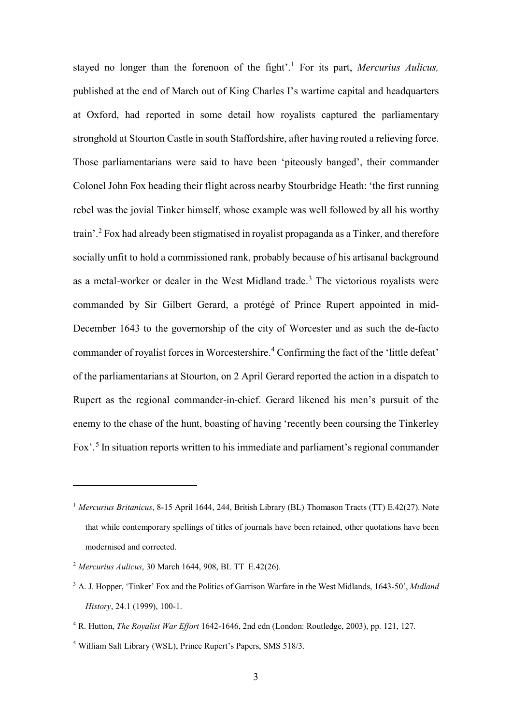stayed no longer than the forenoon of the fight'. [1](#page-2-0) For its part, *Mercurius Aulicus,*  published at the end of March out of King Charles I's wartime capital and headquarters at Oxford, had reported in some detail how royalists captured the parliamentary stronghold at Stourton Castle in south Staffordshire, after having routed a relieving force. Those parliamentarians were said to have been 'piteously banged', their commander Colonel John Fox heading their flight across nearby Stourbridge Heath: 'the first running rebel was the jovial Tinker himself, whose example was well followed by all his worthy train'. [2](#page-2-1) Fox had already been stigmatised in royalist propaganda as a Tinker, and therefore socially unfit to hold a commissioned rank, probably because of his artisanal background as a metal-worker or dealer in the West Midland trade.<sup>[3](#page-2-2)</sup> The victorious royalists were commanded by Sir Gilbert Gerard, a protégé of Prince Rupert appointed in mid-December 1643 to the governorship of the city of Worcester and as such the de-facto commander of royalist forces in Worcestershire.<sup>[4](#page-2-3)</sup> Confirming the fact of the 'little defeat' of the parliamentarians at Stourton, on 2 April Gerard reported the action in a dispatch to Rupert as the regional commander-in-chief. Gerard likened his men's pursuit of the enemy to the chase of the hunt, boasting of having 'recently been coursing the Tinkerley Fox'. [5](#page-2-4) In situation reports written to his immediate and parliament's regional commander

<span id="page-2-0"></span><sup>1</sup> *Mercurius Britanicus*, 8-15 April 1644, 244, British Library (BL) Thomason Tracts (TT) E.42(27). Note that while contemporary spellings of titles of journals have been retained, other quotations have been modernised and corrected.

<span id="page-2-1"></span><sup>2</sup> *Mercurius Aulicus*, 30 March 1644, 908, BL TT E.42(26).

<span id="page-2-2"></span><sup>3</sup> A. J. Hopper, 'Tinker' Fox and the Politics of Garrison Warfare in the West Midlands, 1643-50', *Midland History*, 24.1 (1999), 100-1.

<span id="page-2-3"></span><sup>4</sup> R. Hutton, *The Royalist War Effort* 1642-1646, 2nd edn (London: Routledge, 2003), pp. 121, 127.

<span id="page-2-4"></span><sup>5</sup> William Salt Library (WSL), Prince Rupert's Papers, SMS 518/3.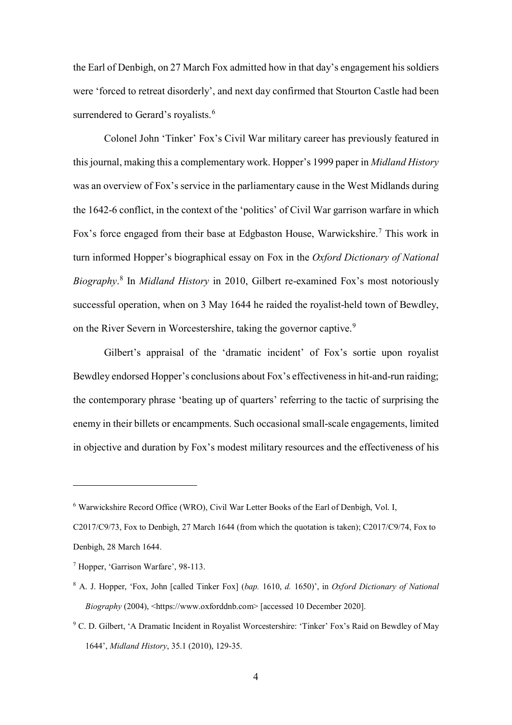the Earl of Denbigh, on 27 March Fox admitted how in that day's engagement his soldiers were 'forced to retreat disorderly', and next day confirmed that Stourton Castle had been surrendered to Gerard's royalists.<sup>[6](#page-3-0)</sup>

Colonel John 'Tinker' Fox's Civil War military career has previously featured in this journal, making this a complementary work. Hopper's 1999 paper in *Midland History* was an overview of Fox's service in the parliamentary cause in the West Midlands during the 1642-6 conflict, in the context of the 'politics' of Civil War garrison warfare in which Fox's force engaged from their base at Edgbaston House, Warwickshire.<sup>[7](#page-3-1)</sup> This work in turn informed Hopper's biographical essay on Fox in the *Oxford Dictionary of National Biography*. [8](#page-3-2) In *Midland History* in 2010, Gilbert re-examined Fox's most notoriously successful operation, when on 3 May 1644 he raided the royalist-held town of Bewdley, on the River Severn in Worcestershire, taking the governor captive.<sup>[9](#page-3-3)</sup>

Gilbert's appraisal of the 'dramatic incident' of Fox's sortie upon royalist Bewdley endorsed Hopper's conclusions about Fox's effectiveness in hit-and-run raiding; the contemporary phrase 'beating up of quarters' referring to the tactic of surprising the enemy in their billets or encampments. Such occasional small-scale engagements, limited in objective and duration by Fox's modest military resources and the effectiveness of his

<span id="page-3-0"></span><sup>6</sup> Warwickshire Record Office (WRO), Civil War Letter Books of the Earl of Denbigh, Vol. I,

C2017/C9/73, Fox to Denbigh, 27 March 1644 (from which the quotation is taken); C2017/C9/74, Fox to Denbigh, 28 March 1644.

<span id="page-3-1"></span><sup>7</sup> Hopper, 'Garrison Warfare', 98-113.

<span id="page-3-2"></span><sup>8</sup> A. J. Hopper, 'Fox, John [called Tinker Fox] (*bap.* 1610, *d.* 1650)', in *Oxford Dictionary of National Biography* (2004), <https://www.oxforddnb.com> [accessed 10 December 2020].

<span id="page-3-3"></span><sup>9</sup> C. D. Gilbert, 'A Dramatic Incident in Royalist Worcestershire: 'Tinker' Fox's Raid on Bewdley of May 1644', *Midland History*, 35.1 (2010), 129-35.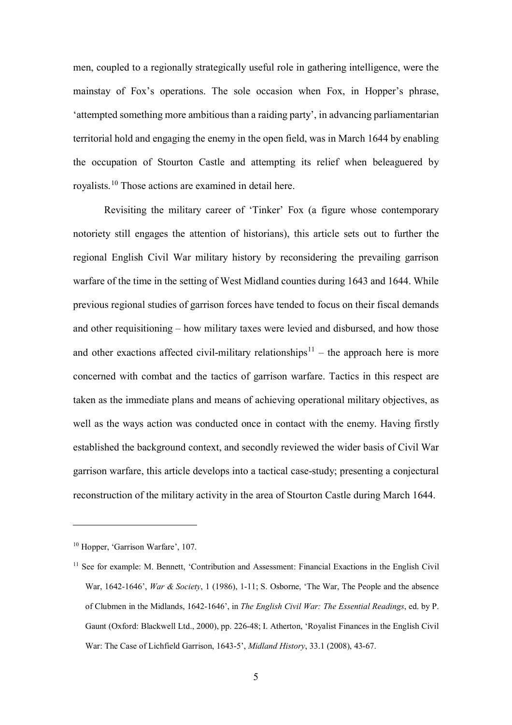men, coupled to a regionally strategically useful role in gathering intelligence, were the mainstay of Fox's operations. The sole occasion when Fox, in Hopper's phrase, 'attempted something more ambitious than a raiding party', in advancing parliamentarian territorial hold and engaging the enemy in the open field, was in March 1644 by enabling the occupation of Stourton Castle and attempting its relief when beleaguered by royalists. [10](#page-4-0) Those actions are examined in detail here.

Revisiting the military career of 'Tinker' Fox (a figure whose contemporary notoriety still engages the attention of historians), this article sets out to further the regional English Civil War military history by reconsidering the prevailing garrison warfare of the time in the setting of West Midland counties during 1643 and 1644. While previous regional studies of garrison forces have tended to focus on their fiscal demands and other requisitioning – how military taxes were levied and disbursed, and how those and other exactions affected civil-military relationships<sup>[11](#page-4-1)</sup> – the approach here is more concerned with combat and the tactics of garrison warfare. Tactics in this respect are taken as the immediate plans and means of achieving operational military objectives, as well as the ways action was conducted once in contact with the enemy. Having firstly established the background context, and secondly reviewed the wider basis of Civil War garrison warfare, this article develops into a tactical case-study; presenting a conjectural reconstruction of the military activity in the area of Stourton Castle during March 1644.

<span id="page-4-0"></span><sup>&</sup>lt;sup>10</sup> Hopper, 'Garrison Warfare', 107.

<span id="page-4-1"></span><sup>&</sup>lt;sup>11</sup> See for example: M. Bennett, 'Contribution and Assessment: Financial Exactions in the English Civil War, 1642-1646', *War & Society*, 1 (1986), 1-11; S. Osborne, 'The War, The People and the absence of Clubmen in the Midlands, 1642-1646', in *The English Civil War: The Essential Readings*, ed. by P. Gaunt (Oxford: Blackwell Ltd., 2000), pp. 226-48; I. Atherton, 'Royalist Finances in the English Civil War: The Case of Lichfield Garrison, 1643-5', *Midland History*, 33.1 (2008), 43-67.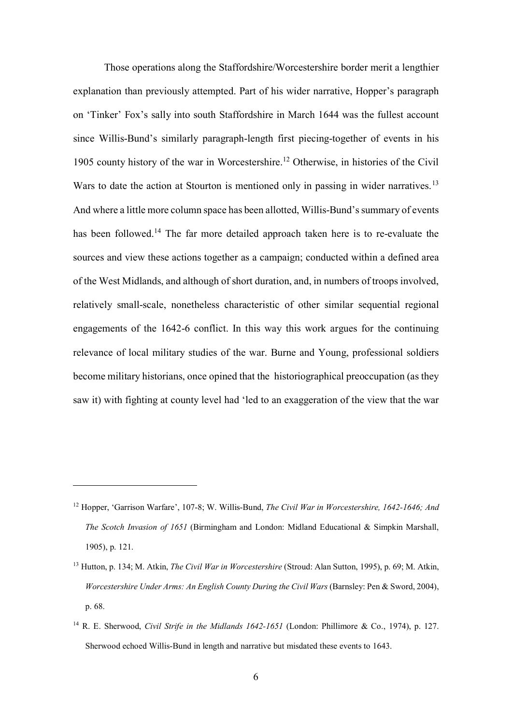Those operations along the Staffordshire/Worcestershire border merit a lengthier explanation than previously attempted. Part of his wider narrative, Hopper's paragraph on 'Tinker' Fox's sally into south Staffordshire in March 1644 was the fullest account since Willis-Bund's similarly paragraph-length first piecing-together of events in his 1905 county history of the war in Worcestershire.<sup>[12](#page-5-0)</sup> Otherwise, in histories of the Civil Wars to date the action at Stourton is mentioned only in passing in wider narratives.<sup>[13](#page-5-1)</sup> And where a little more column space has been allotted, Willis-Bund's summary of events has been followed.<sup>[14](#page-5-2)</sup> The far more detailed approach taken here is to re-evaluate the sources and view these actions together as a campaign; conducted within a defined area of the West Midlands, and although of short duration, and, in numbers of troops involved, relatively small-scale, nonetheless characteristic of other similar sequential regional engagements of the 1642-6 conflict. In this way this work argues for the continuing relevance of local military studies of the war. Burne and Young, professional soldiers become military historians, once opined that the historiographical preoccupation (as they saw it) with fighting at county level had 'led to an exaggeration of the view that the war

<span id="page-5-0"></span><sup>12</sup> Hopper, 'Garrison Warfare', 107-8; W. Willis-Bund, *The Civil War in Worcestershire, 1642-1646; And The Scotch Invasion of 1651* (Birmingham and London: Midland Educational & Simpkin Marshall, 1905), p. 121.

<span id="page-5-1"></span><sup>13</sup> Hutton, p. 134; M. Atkin, *The Civil War in Worcestershire* (Stroud: Alan Sutton, 1995), p. 69; M. Atkin, *Worcestershire Under Arms: An English County During the Civil Wars* (Barnsley: Pen & Sword, 2004), p. 68.

<span id="page-5-2"></span><sup>14</sup> R. E. Sherwood, *Civil Strife in the Midlands 1642-1651* (London: Phillimore & Co., 1974), p. 127. Sherwood echoed Willis-Bund in length and narrative but misdated these events to 1643.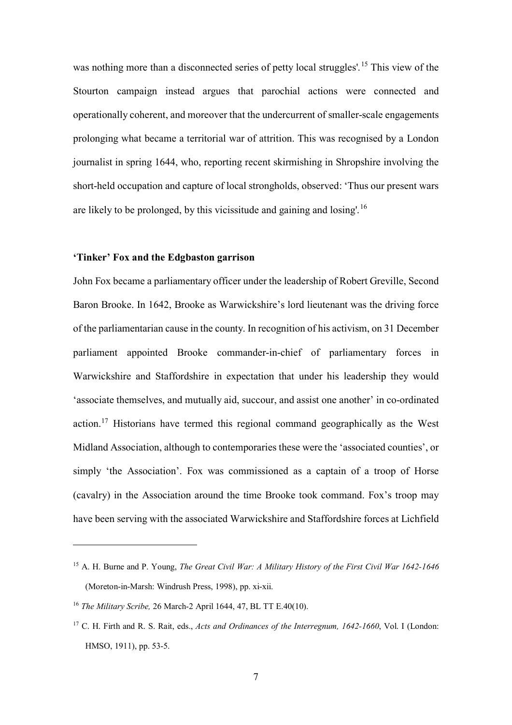was nothing more than a disconnected series of petty local struggles'.<sup>[15](#page-6-0)</sup> This view of the Stourton campaign instead argues that parochial actions were connected and operationally coherent, and moreover that the undercurrent of smaller-scale engagements prolonging what became a territorial war of attrition. This was recognised by a London journalist in spring 1644, who, reporting recent skirmishing in Shropshire involving the short-held occupation and capture of local strongholds, observed: 'Thus our present wars are likely to be prolonged, by this vicissitude and gaining and losing'.<sup>[16](#page-6-1)</sup>

#### **'Tinker' Fox and the Edgbaston garrison**

John Fox became a parliamentary officer under the leadership of Robert Greville, Second Baron Brooke. In 1642, Brooke as Warwickshire's lord lieutenant was the driving force of the parliamentarian cause in the county. In recognition of his activism, on 31 December parliament appointed Brooke commander-in-chief of parliamentary forces in Warwickshire and Staffordshire in expectation that under his leadership they would 'associate themselves, and mutually aid, succour, and assist one another' in co-ordinated action.<sup>[17](#page-6-2)</sup> Historians have termed this regional command geographically as the West Midland Association, although to contemporaries these were the 'associated counties', or simply 'the Association'. Fox was commissioned as a captain of a troop of Horse (cavalry) in the Association around the time Brooke took command. Fox's troop may have been serving with the associated Warwickshire and Staffordshire forces at Lichfield

<span id="page-6-0"></span><sup>15</sup> A. H. Burne and P. Young, *The Great Civil War: A Military History of the First Civil War 1642-1646* (Moreton-in-Marsh: Windrush Press, 1998), pp. xi-xii.

<span id="page-6-1"></span><sup>16</sup> *The Military Scribe,* 26 March-2 April 1644, 47, BL TT E.40(10).

<span id="page-6-2"></span><sup>17</sup> C. H. Firth and R. S. Rait, eds., *Acts and Ordinances of the Interregnum, 1642-1660*, Vol. I (London: HMSO, 1911), pp. 53-5.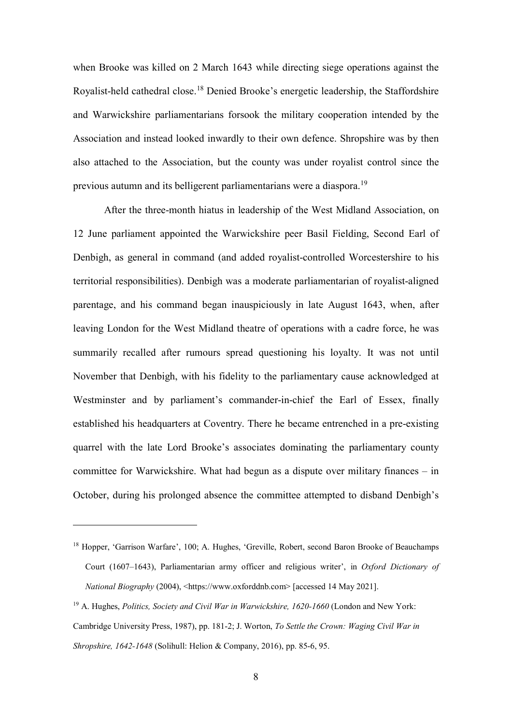when Brooke was killed on 2 March 1643 while directing siege operations against the Royalist-held cathedral close.<sup>[18](#page-7-0)</sup> Denied Brooke's energetic leadership, the Staffordshire and Warwickshire parliamentarians forsook the military cooperation intended by the Association and instead looked inwardly to their own defence. Shropshire was by then also attached to the Association, but the county was under royalist control since the previous autumn and its belligerent parliamentarians were a diaspora.[19](#page-7-1)

After the three-month hiatus in leadership of the West Midland Association, on 12 June parliament appointed the Warwickshire peer Basil Fielding, Second Earl of Denbigh, as general in command (and added royalist-controlled Worcestershire to his territorial responsibilities). Denbigh was a moderate parliamentarian of royalist-aligned parentage, and his command began inauspiciously in late August 1643, when, after leaving London for the West Midland theatre of operations with a cadre force, he was summarily recalled after rumours spread questioning his loyalty. It was not until November that Denbigh, with his fidelity to the parliamentary cause acknowledged at Westminster and by parliament's commander-in-chief the Earl of Essex, finally established his headquarters at Coventry. There he became entrenched in a pre-existing quarrel with the late Lord Brooke's associates dominating the parliamentary county committee for Warwickshire. What had begun as a dispute over military finances – in October, during his prolonged absence the committee attempted to disband Denbigh's

<span id="page-7-0"></span><sup>&</sup>lt;sup>18</sup> Hopper, 'Garrison Warfare', 100; A. Hughes, 'Greville, Robert, second Baron Brooke of Beauchamps Court (1607–1643), Parliamentarian army officer and religious writer', in *Oxford Dictionary of National Biography* (2004), <https://www.oxforddnb.com> [accessed 14 May 2021].

<span id="page-7-1"></span><sup>19</sup> A. Hughes, *Politics, Society and Civil War in Warwickshire, 1620-1660* (London and New York: Cambridge University Press, 1987), pp. 181-2; J. Worton, *To Settle the Crown: Waging Civil War in Shropshire, 1642-1648* (Solihull: Helion & Company, 2016), pp. 85-6, 95.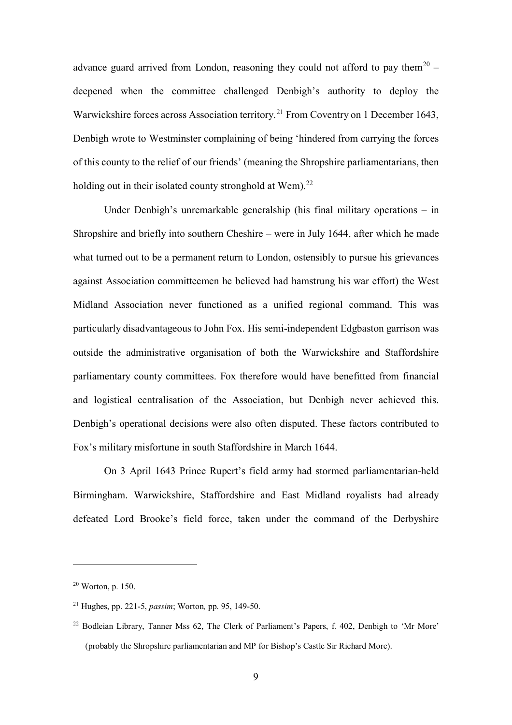advance guard arrived from London, reasoning they could not afford to pay them<sup>[20](#page-8-0)</sup> – deepened when the committee challenged Denbigh's authority to deploy the Warwickshire forces across Association territory.<sup>[21](#page-8-1)</sup> From Coventry on 1 December 1643, Denbigh wrote to Westminster complaining of being 'hindered from carrying the forces of this county to the relief of our friends' (meaning the Shropshire parliamentarians, then holding out in their isolated county stronghold at  $W$ em).<sup>[22](#page-8-2)</sup>

Under Denbigh's unremarkable generalship (his final military operations – in Shropshire and briefly into southern Cheshire – were in July 1644, after which he made what turned out to be a permanent return to London, ostensibly to pursue his grievances against Association committeemen he believed had hamstrung his war effort) the West Midland Association never functioned as a unified regional command. This was particularly disadvantageous to John Fox. His semi-independent Edgbaston garrison was outside the administrative organisation of both the Warwickshire and Staffordshire parliamentary county committees. Fox therefore would have benefitted from financial and logistical centralisation of the Association, but Denbigh never achieved this. Denbigh's operational decisions were also often disputed. These factors contributed to Fox's military misfortune in south Staffordshire in March 1644.

On 3 April 1643 Prince Rupert's field army had stormed parliamentarian-held Birmingham. Warwickshire, Staffordshire and East Midland royalists had already defeated Lord Brooke's field force, taken under the command of the Derbyshire

<span id="page-8-0"></span> $20$  Worton, p. 150.

<span id="page-8-1"></span><sup>21</sup> Hughes, pp. 221-5, *passim*; Worton*,* pp. 95, 149-50.

<span id="page-8-2"></span><sup>22</sup> Bodleian Library, Tanner Mss 62, The Clerk of Parliament's Papers, f. 402, Denbigh to 'Mr More' (probably the Shropshire parliamentarian and MP for Bishop's Castle Sir Richard More).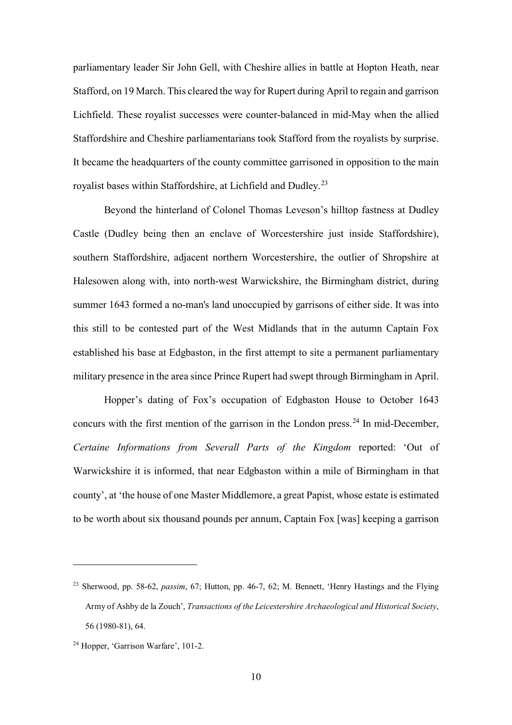parliamentary leader Sir John Gell, with Cheshire allies in battle at Hopton Heath, near Stafford, on 19 March. This cleared the way for Rupert during April to regain and garrison Lichfield. These royalist successes were counter-balanced in mid-May when the allied Staffordshire and Cheshire parliamentarians took Stafford from the royalists by surprise. It became the headquarters of the county committee garrisoned in opposition to the main royalist bases within Staffordshire, at Lichfield and Dudley.[23](#page-9-0)

Beyond the hinterland of Colonel Thomas Leveson's hilltop fastness at Dudley Castle (Dudley being then an enclave of Worcestershire just inside Staffordshire), southern Staffordshire, adjacent northern Worcestershire, the outlier of Shropshire at Halesowen along with, into north-west Warwickshire, the Birmingham district, during summer 1643 formed a no-man's land unoccupied by garrisons of either side. It was into this still to be contested part of the West Midlands that in the autumn Captain Fox established his base at Edgbaston, in the first attempt to site a permanent parliamentary military presence in the area since Prince Rupert had swept through Birmingham in April.

Hopper's dating of Fox's occupation of Edgbaston House to October 1643 concurs with the first mention of the garrison in the London press.<sup>[24](#page-9-1)</sup> In mid-December, *Certaine Informations from Severall Parts of the Kingdom* reported: 'Out of Warwickshire it is informed, that near Edgbaston within a mile of Birmingham in that county', at 'the house of one Master Middlemore, a great Papist, whose estate is estimated to be worth about six thousand pounds per annum, Captain Fox [was] keeping a garrison

<span id="page-9-0"></span><sup>23</sup> Sherwood, pp. 58-62, *passim*, 67; Hutton, pp. 46-7, 62; M. Bennett, 'Henry Hastings and the Flying Army of Ashby de la Zouch', *Transactions of the Leicestershire Archaeological and Historical Society*, 56 (1980-81), 64.

<span id="page-9-1"></span><sup>&</sup>lt;sup>24</sup> Hopper, 'Garrison Warfare', 101-2.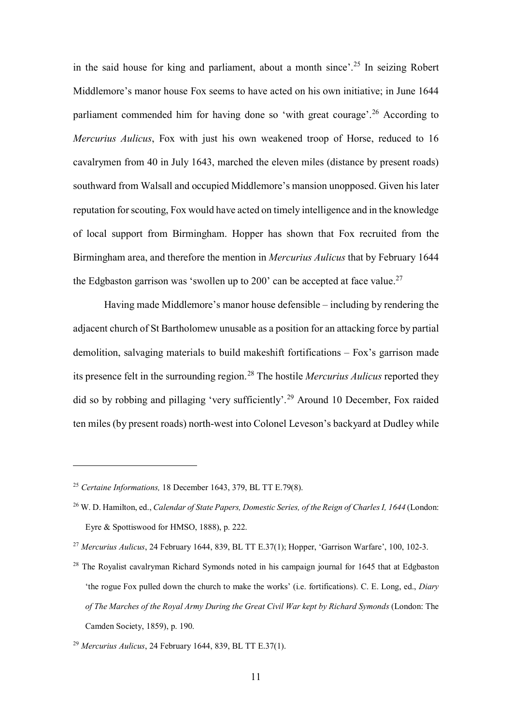in the said house for king and parliament, about a month since'.<sup>[25](#page-10-0)</sup> In seizing Robert Middlemore's manor house Fox seems to have acted on his own initiative; in June 1644 parliament commended him for having done so 'with great courage'.<sup>[26](#page-10-1)</sup> According to *Mercurius Aulicus*, Fox with just his own weakened troop of Horse, reduced to 16 cavalrymen from 40 in July 1643, marched the eleven miles (distance by present roads) southward from Walsall and occupied Middlemore's mansion unopposed. Given his later reputation for scouting, Fox would have acted on timely intelligence and in the knowledge of local support from Birmingham. Hopper has shown that Fox recruited from the Birmingham area, and therefore the mention in *Mercurius Aulicus* that by February 1644 the Edgbaston garrison was 'swollen up to 200' can be accepted at face value.<sup>[27](#page-10-2)</sup>

Having made Middlemore's manor house defensible – including by rendering the adjacent church of St Bartholomew unusable as a position for an attacking force by partial demolition, salvaging materials to build makeshift fortifications – Fox's garrison made its presence felt in the surrounding region.[28](#page-10-3) The hostile *Mercurius Aulicus* reported they did so by robbing and pillaging 'very sufficiently'. [29](#page-10-4) Around 10 December, Fox raided ten miles (by present roads) north-west into Colonel Leveson's backyard at Dudley while

<span id="page-10-0"></span><sup>25</sup> *Certaine Informations,* 18 December 1643, 379, BL TT E.79(8).

<span id="page-10-1"></span><sup>26</sup> W. D. Hamilton, ed., *Calendar of State Papers, Domestic Series, of the Reign of Charles I, 1644* (London: Eyre & Spottiswood for HMSO, 1888), p. 222.

<span id="page-10-2"></span><sup>27</sup> *Mercurius Aulicus*, 24 February 1644, 839, BL TT E.37(1); Hopper, 'Garrison Warfare', 100, 102-3.

<span id="page-10-3"></span><sup>&</sup>lt;sup>28</sup> The Rovalist cavalryman Richard Symonds noted in his campaign journal for 1645 that at Edgbaston 'the rogue Fox pulled down the church to make the works' (i.e. fortifications). C. E. Long, ed., *Diary of The Marches of the Royal Army During the Great Civil War kept by Richard Symonds* (London: The Camden Society, 1859), p. 190.

<span id="page-10-4"></span><sup>29</sup> *Mercurius Aulicus*, 24 February 1644, 839, BL TT E.37(1).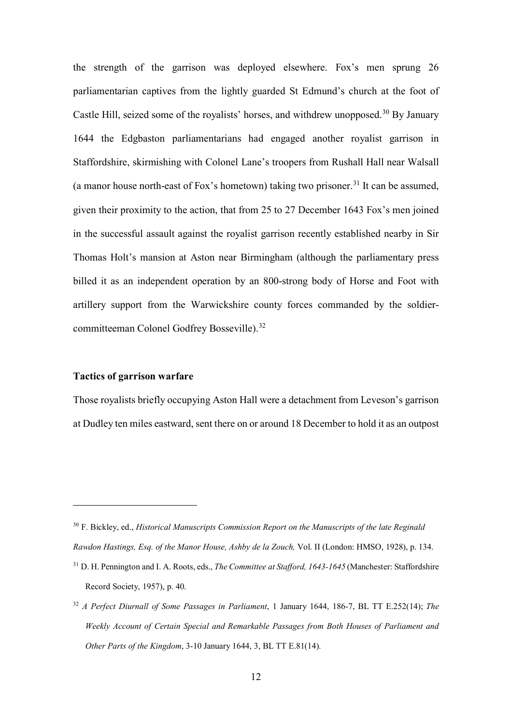the strength of the garrison was deployed elsewhere. Fox's men sprung 26 parliamentarian captives from the lightly guarded St Edmund's church at the foot of Castle Hill, seized some of the royalists' horses, and withdrew unopposed.<sup>[30](#page-11-0)</sup> By January 1644 the Edgbaston parliamentarians had engaged another royalist garrison in Staffordshire, skirmishing with Colonel Lane's troopers from Rushall Hall near Walsall (a manor house north-east of Fox's hometown) taking two prisoner.<sup>[31](#page-11-1)</sup> It can be assumed, given their proximity to the action, that from 25 to 27 December 1643 Fox's men joined in the successful assault against the royalist garrison recently established nearby in Sir Thomas Holt's mansion at Aston near Birmingham (although the parliamentary press billed it as an independent operation by an 800-strong body of Horse and Foot with artillery support from the Warwickshire county forces commanded by the soldier-committeeman Colonel Godfrey Bosseville).<sup>[32](#page-11-2)</sup>

#### **Tactics of garrison warfare**

 $\overline{a}$ 

Those royalists briefly occupying Aston Hall were a detachment from Leveson's garrison at Dudley ten miles eastward, sent there on or around 18 December to hold it as an outpost

<span id="page-11-0"></span><sup>30</sup> F. Bickley, ed., *Historical Manuscripts Commission Report on the Manuscripts of the late Reginald Rawdon Hastings, Esq. of the Manor House, Ashby de la Zouch,* Vol. II (London: HMSO, 1928), p. 134.

<span id="page-11-1"></span><sup>31</sup> D. H. Pennington and I. A. Roots, eds., *The Committee at Stafford, 1643-1645* (Manchester: Staffordshire Record Society, 1957), p. 40.

<span id="page-11-2"></span><sup>32</sup> *A Perfect Diurnall of Some Passages in Parliament*, 1 January 1644, 186-7, BL TT E.252(14); *The Weekly Account of Certain Special and Remarkable Passages from Both Houses of Parliament and Other Parts of the Kingdom*, 3-10 January 1644, 3, BL TT E.81(14).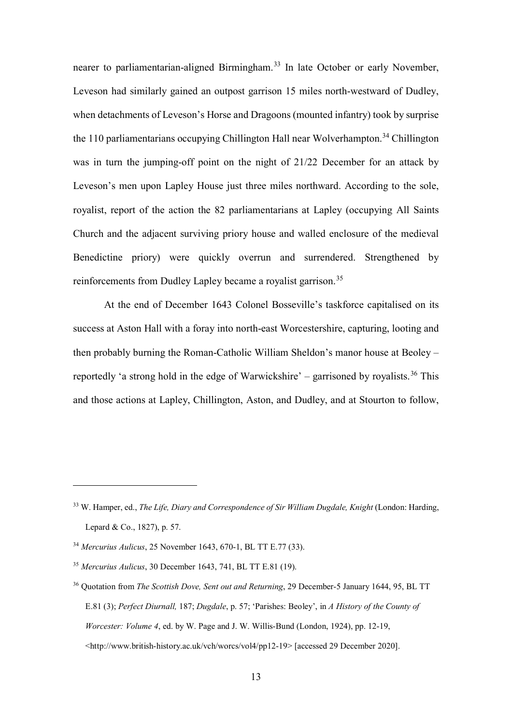nearer to parliamentarian-aligned Birmingham.<sup>[33](#page-12-0)</sup> In late October or early November, Leveson had similarly gained an outpost garrison 15 miles north-westward of Dudley, when detachments of Leveson's Horse and Dragoons (mounted infantry) took by surprise the 110 parliamentarians occupying Chillington Hall near Wolverhampton.<sup>[34](#page-12-1)</sup> Chillington was in turn the jumping-off point on the night of 21/22 December for an attack by Leveson's men upon Lapley House just three miles northward. According to the sole, royalist, report of the action the 82 parliamentarians at Lapley (occupying All Saints Church and the adjacent surviving priory house and walled enclosure of the medieval Benedictine priory) were quickly overrun and surrendered. Strengthened by reinforcements from Dudley Lapley became a royalist garrison.<sup>35</sup>

 At the end of December 1643 Colonel Bosseville's taskforce capitalised on its success at Aston Hall with a foray into north-east Worcestershire, capturing, looting and then probably burning the Roman-Catholic William Sheldon's manor house at Beoley – reportedly 'a strong hold in the edge of Warwickshire' - garrisoned by royalists.<sup>[36](#page-12-3)</sup> This and those actions at Lapley, Chillington, Aston, and Dudley, and at Stourton to follow,

<span id="page-12-0"></span><sup>33</sup> W. Hamper, ed., *The Life, Diary and Correspondence of Sir William Dugdale, Knight* (London: Harding, Lepard & Co., 1827), p. 57.

<span id="page-12-1"></span><sup>34</sup> *Mercurius Aulicus*, 25 November 1643, 670-1, BL TT E.77 (33).

<span id="page-12-2"></span><sup>35</sup> *Mercurius Aulicus*, 30 December 1643, 741, BL TT E.81 (19).

<span id="page-12-3"></span><sup>36</sup> Quotation from *The Scottish Dove, Sent out and Returning*, 29 December-5 January 1644, 95, BL TT E.81 (3); *Perfect Diurnall,* 187; *Dugdale*, p. 57; 'Parishes: Beoley', in *A History of the County of Worcester: Volume 4*, ed. by W. Page and J. W. Willis-Bund (London, 1924), pp. 12-19, <http://www.british-history.ac.uk/vch/worcs/vol4/pp12-19> [accessed 29 December 2020].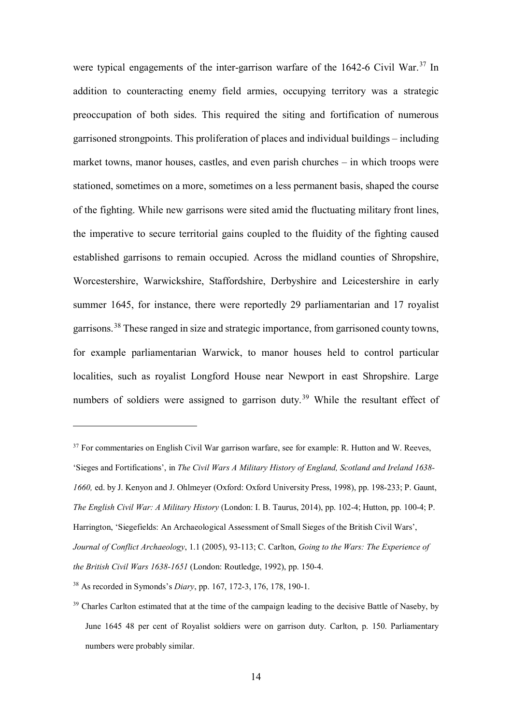were typical engagements of the inter-garrison warfare of the 1642-6 Civil War.<sup>[37](#page-13-0)</sup> In addition to counteracting enemy field armies, occupying territory was a strategic preoccupation of both sides. This required the siting and fortification of numerous garrisoned strongpoints. This proliferation of places and individual buildings – including market towns, manor houses, castles, and even parish churches – in which troops were stationed, sometimes on a more, sometimes on a less permanent basis, shaped the course of the fighting. While new garrisons were sited amid the fluctuating military front lines, the imperative to secure territorial gains coupled to the fluidity of the fighting caused established garrisons to remain occupied. Across the midland counties of Shropshire, Worcestershire, Warwickshire, Staffordshire, Derbyshire and Leicestershire in early summer 1645, for instance, there were reportedly 29 parliamentarian and 17 royalist garrisons.<sup>[38](#page-13-1)</sup> These ranged in size and strategic importance, from garrisoned county towns, for example parliamentarian Warwick, to manor houses held to control particular localities, such as royalist Longford House near Newport in east Shropshire. Large numbers of soldiers were assigned to garrison duty.<sup>[39](#page-13-2)</sup> While the resultant effect of

<span id="page-13-0"></span><sup>&</sup>lt;sup>37</sup> For commentaries on English Civil War garrison warfare, see for example: R. Hutton and W. Reeves, 'Sieges and Fortifications', in *The Civil Wars A Military History of England, Scotland and Ireland 1638- 1660,* ed. by J. Kenyon and J. Ohlmeyer (Oxford: Oxford University Press, 1998), pp. 198-233; P. Gaunt, *The English Civil War: A Military History* (London: I. B. Taurus, 2014), pp. 102-4; Hutton, pp. 100-4; P. Harrington, 'Siegefields: An Archaeological Assessment of Small Sieges of the British Civil Wars', *Journal of Conflict Archaeology*, 1.1 (2005), 93-113; C. Carlton, *Going to the Wars: The Experience of the British Civil Wars 1638-1651* (London: Routledge, 1992), pp. 150-4.

<span id="page-13-1"></span><sup>38</sup> As recorded in Symonds's *Diary*, pp. 167, 172-3, 176, 178, 190-1.

<span id="page-13-2"></span><sup>&</sup>lt;sup>39</sup> Charles Carlton estimated that at the time of the campaign leading to the decisive Battle of Naseby, by June 1645 48 per cent of Royalist soldiers were on garrison duty. Carlton, p. 150. Parliamentary numbers were probably similar.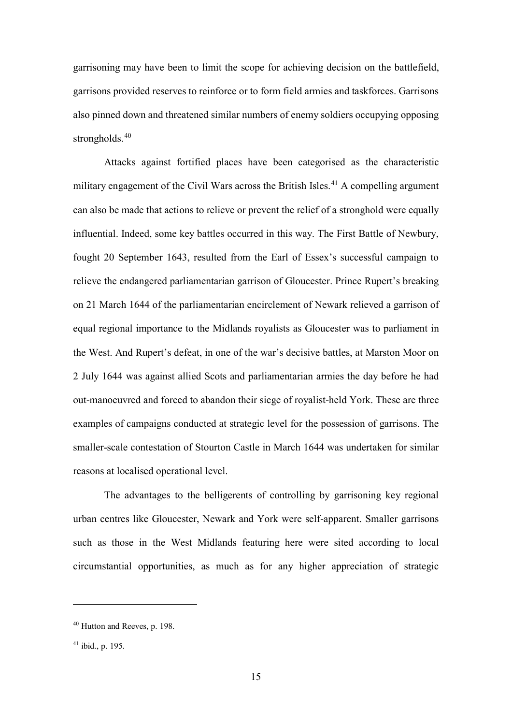garrisoning may have been to limit the scope for achieving decision on the battlefield, garrisons provided reserves to reinforce or to form field armies and taskforces. Garrisons also pinned down and threatened similar numbers of enemy soldiers occupying opposing strongholds.<sup>[40](#page-14-0)</sup>

Attacks against fortified places have been categorised as the characteristic military engagement of the Civil Wars across the British Isles.<sup>[41](#page-14-1)</sup> A compelling argument can also be made that actions to relieve or prevent the relief of a stronghold were equally influential. Indeed, some key battles occurred in this way. The First Battle of Newbury, fought 20 September 1643, resulted from the Earl of Essex's successful campaign to relieve the endangered parliamentarian garrison of Gloucester. Prince Rupert's breaking on 21 March 1644 of the parliamentarian encirclement of Newark relieved a garrison of equal regional importance to the Midlands royalists as Gloucester was to parliament in the West. And Rupert's defeat, in one of the war's decisive battles, at Marston Moor on 2 July 1644 was against allied Scots and parliamentarian armies the day before he had out-manoeuvred and forced to abandon their siege of royalist-held York. These are three examples of campaigns conducted at strategic level for the possession of garrisons. The smaller-scale contestation of Stourton Castle in March 1644 was undertaken for similar reasons at localised operational level.

The advantages to the belligerents of controlling by garrisoning key regional urban centres like Gloucester, Newark and York were self-apparent. Smaller garrisons such as those in the West Midlands featuring here were sited according to local circumstantial opportunities, as much as for any higher appreciation of strategic

<span id="page-14-0"></span><sup>40</sup> Hutton and Reeves, p. 198.

<span id="page-14-1"></span><sup>41</sup> ibid., p. 195.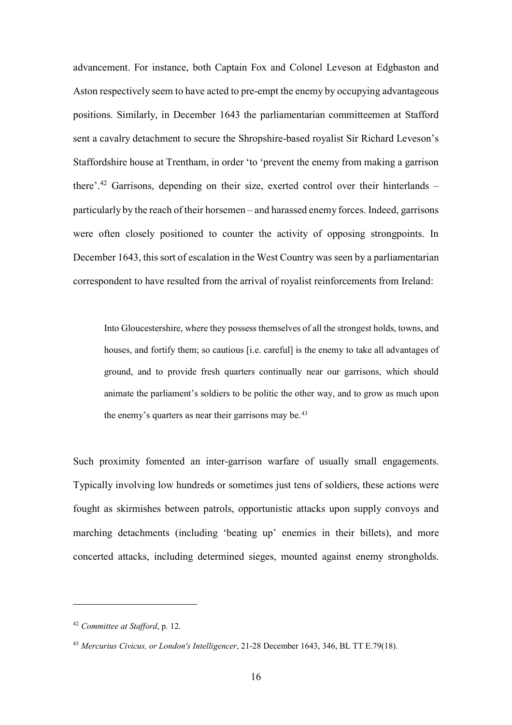advancement. For instance, both Captain Fox and Colonel Leveson at Edgbaston and Aston respectively seem to have acted to pre-empt the enemy by occupying advantageous positions. Similarly, in December 1643 the parliamentarian committeemen at Stafford sent a cavalry detachment to secure the Shropshire-based royalist Sir Richard Leveson's Staffordshire house at Trentham, in order 'to 'prevent the enemy from making a garrison there'.<sup>[42](#page-15-0)</sup> Garrisons, depending on their size, exerted control over their hinterlands – particularly by the reach of their horsemen – and harassed enemy forces. Indeed, garrisons were often closely positioned to counter the activity of opposing strongpoints. In December 1643, this sort of escalation in the West Country was seen by a parliamentarian correspondent to have resulted from the arrival of royalist reinforcements from Ireland:

Into Gloucestershire, where they possess themselves of all the strongest holds, towns, and houses, and fortify them; so cautious [i.e. careful] is the enemy to take all advantages of ground, and to provide fresh quarters continually near our garrisons, which should animate the parliament's soldiers to be politic the other way, and to grow as much upon the enemy's quarters as near their garrisons may be.<sup>[43](#page-15-1)</sup>

Such proximity fomented an inter-garrison warfare of usually small engagements. Typically involving low hundreds or sometimes just tens of soldiers, these actions were fought as skirmishes between patrols, opportunistic attacks upon supply convoys and marching detachments (including 'beating up' enemies in their billets), and more concerted attacks, including determined sieges, mounted against enemy strongholds.

<span id="page-15-0"></span><sup>42</sup> *Committee at Stafford*, p. 12.

<span id="page-15-1"></span><sup>43</sup> *Mercurius Civicus, or London's Intelligencer*, 21-28 December 1643, 346, BL TT E.79(18).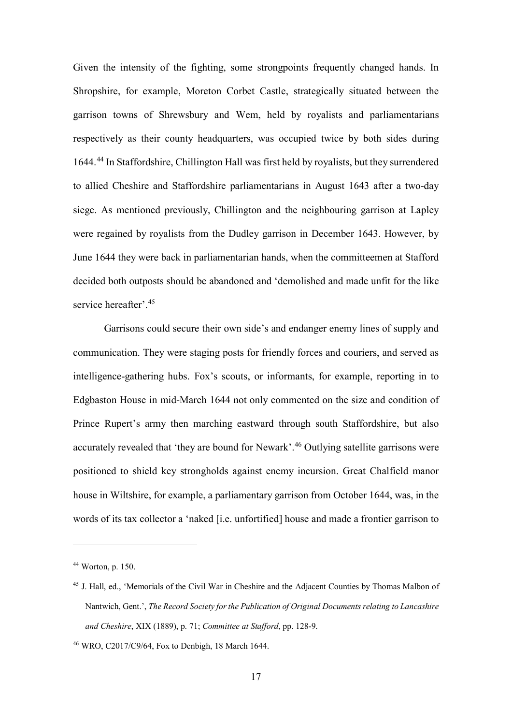Given the intensity of the fighting, some strongpoints frequently changed hands. In Shropshire, for example, Moreton Corbet Castle, strategically situated between the garrison towns of Shrewsbury and Wem, held by royalists and parliamentarians respectively as their county headquarters, was occupied twice by both sides during 1644.[44](#page-16-0) In Staffordshire, Chillington Hall was first held by royalists, but they surrendered to allied Cheshire and Staffordshire parliamentarians in August 1643 after a two-day siege. As mentioned previously, Chillington and the neighbouring garrison at Lapley were regained by royalists from the Dudley garrison in December 1643. However, by June 1644 they were back in parliamentarian hands, when the committeemen at Stafford decided both outposts should be abandoned and 'demolished and made unfit for the like service hereafter'.<sup>[45](#page-16-1)</sup>

Garrisons could secure their own side's and endanger enemy lines of supply and communication. They were staging posts for friendly forces and couriers, and served as intelligence-gathering hubs. Fox's scouts, or informants, for example, reporting in to Edgbaston House in mid-March 1644 not only commented on the size and condition of Prince Rupert's army then marching eastward through south Staffordshire, but also accurately revealed that 'they are bound for Newark'.<sup>[46](#page-16-2)</sup> Outlying satellite garrisons were positioned to shield key strongholds against enemy incursion. Great Chalfield manor house in Wiltshire, for example, a parliamentary garrison from October 1644, was, in the words of its tax collector a 'naked [i.e. unfortified] house and made a frontier garrison to

<span id="page-16-0"></span><sup>44</sup> Worton, p. 150.

<span id="page-16-1"></span><sup>45</sup> J. Hall, ed., 'Memorials of the Civil War in Cheshire and the Adjacent Counties by Thomas Malbon of Nantwich, Gent.', *The Record Society for the Publication of Original Documents relating to Lancashire and Cheshire*, XIX (1889), p. 71; *Committee at Stafford*, pp. 128-9.

<span id="page-16-2"></span><sup>46</sup> WRO, C2017/C9/64, Fox to Denbigh, 18 March 1644.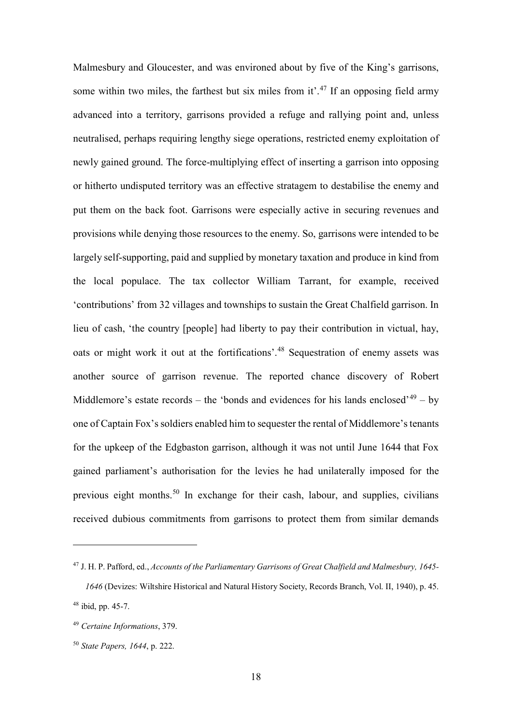Malmesbury and Gloucester, and was environed about by five of the King's garrisons, some within two miles, the farthest but six miles from it'.<sup>[47](#page-17-0)</sup> If an opposing field army advanced into a territory, garrisons provided a refuge and rallying point and, unless neutralised, perhaps requiring lengthy siege operations, restricted enemy exploitation of newly gained ground. The force-multiplying effect of inserting a garrison into opposing or hitherto undisputed territory was an effective stratagem to destabilise the enemy and put them on the back foot. Garrisons were especially active in securing revenues and provisions while denying those resources to the enemy. So, garrisons were intended to be largely self-supporting, paid and supplied by monetary taxation and produce in kind from the local populace. The tax collector William Tarrant, for example, received 'contributions' from 32 villages and townships to sustain the Great Chalfield garrison. In lieu of cash, 'the country [people] had liberty to pay their contribution in victual, hay, oats or might work it out at the fortifications'.[48](#page-17-1) Sequestration of enemy assets was another source of garrison revenue. The reported chance discovery of Robert Middlemore's estate records – the 'bonds and evidences for his lands enclosed'<sup>[49](#page-17-2)</sup> – by one of Captain Fox's soldiers enabled him to sequester the rental of Middlemore's tenants for the upkeep of the Edgbaston garrison, although it was not until June 1644 that Fox gained parliament's authorisation for the levies he had unilaterally imposed for the previous eight months.[50](#page-17-3) In exchange for their cash, labour, and supplies, civilians received dubious commitments from garrisons to protect them from similar demands

<span id="page-17-0"></span><sup>47</sup> J. H. P. Pafford, ed., *Accounts of the Parliamentary Garrisons of Great Chalfield and Malmesbury, 1645-*

<span id="page-17-1"></span>*<sup>1646</sup>* (Devizes: Wiltshire Historical and Natural History Society, Records Branch, Vol. II, 1940), p. 45. <sup>48</sup> ibid, pp. 45-7.

<span id="page-17-2"></span><sup>49</sup> *Certaine Informations*, 379.

<span id="page-17-3"></span><sup>50</sup> *State Papers, 1644*, p. 222.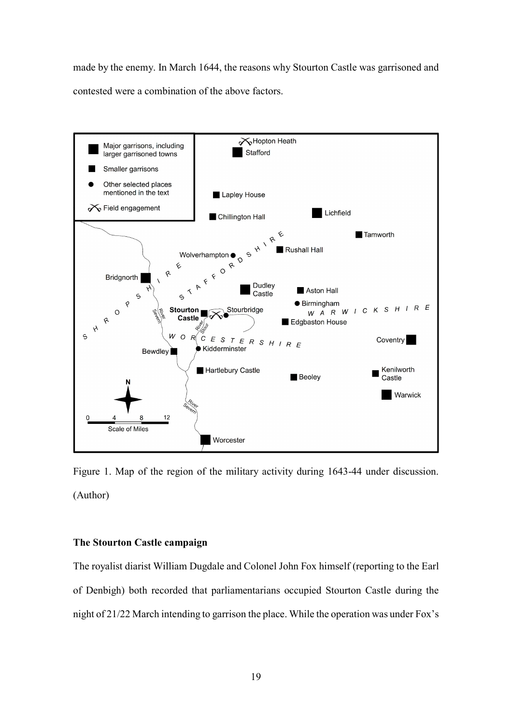made by the enemy. In March 1644, the reasons why Stourton Castle was garrisoned and contested were a combination of the above factors.



Figure 1. Map of the region of the military activity during 1643-44 under discussion. (Author)

### **The Stourton Castle campaign**

The royalist diarist William Dugdale and Colonel John Fox himself (reporting to the Earl of Denbigh) both recorded that parliamentarians occupied Stourton Castle during the night of 21/22 March intending to garrison the place. While the operation was under Fox's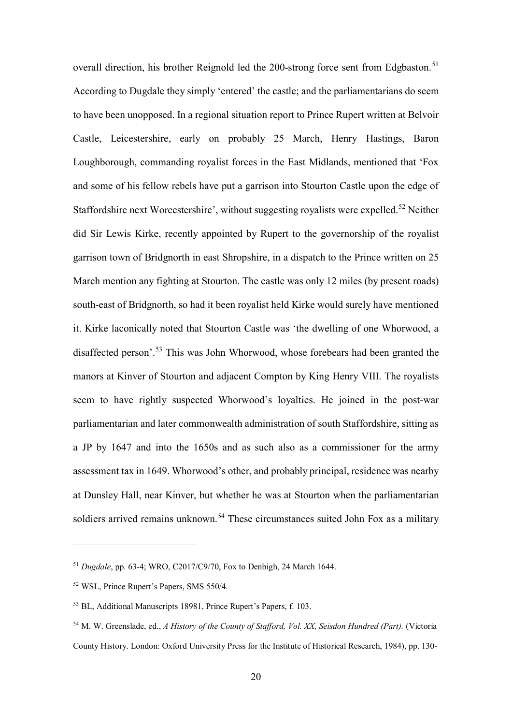overall direction, his brother Reignold led the 200-strong force sent from Edgbaston.<sup>[51](#page-19-0)</sup> According to Dugdale they simply 'entered' the castle; and the parliamentarians do seem to have been unopposed. In a regional situation report to Prince Rupert written at Belvoir Castle, Leicestershire, early on probably 25 March, Henry Hastings, Baron Loughborough, commanding royalist forces in the East Midlands, mentioned that 'Fox and some of his fellow rebels have put a garrison into Stourton Castle upon the edge of Staffordshire next Worcestershire', without suggesting royalists were expelled.<sup>[52](#page-19-1)</sup> Neither did Sir Lewis Kirke, recently appointed by Rupert to the governorship of the royalist garrison town of Bridgnorth in east Shropshire, in a dispatch to the Prince written on 25 March mention any fighting at Stourton. The castle was only 12 miles (by present roads) south-east of Bridgnorth, so had it been royalist held Kirke would surely have mentioned it. Kirke laconically noted that Stourton Castle was 'the dwelling of one Whorwood, a disaffected person'. [53](#page-19-2) This was John Whorwood, whose forebears had been granted the manors at Kinver of Stourton and adjacent Compton by King Henry VIII. The royalists seem to have rightly suspected Whorwood's loyalties. He joined in the post-war parliamentarian and later commonwealth administration of south Staffordshire, sitting as a JP by 1647 and into the 1650s and as such also as a commissioner for the army assessment tax in 1649. Whorwood's other, and probably principal, residence was nearby at Dunsley Hall, near Kinver, but whether he was at Stourton when the parliamentarian soldiers arrived remains unknown.<sup>[54](#page-19-3)</sup> These circumstances suited John Fox as a military

<span id="page-19-0"></span><sup>51</sup> *Dugdale*, pp. 63-4; WRO, C2017/C9/70, Fox to Denbigh, 24 March 1644.

<span id="page-19-1"></span><sup>52</sup> WSL, Prince Rupert's Papers, SMS 550/4.

<span id="page-19-2"></span><sup>53</sup> BL, Additional Manuscripts 18981, Prince Rupert's Papers, f. 103.

<span id="page-19-3"></span><sup>54</sup> M. W. Greenslade, ed., *A History of the County of Stafford, Vol. XX, Seisdon Hundred (Part).* (Victoria County History. London: Oxford University Press for the Institute of Historical Research, 1984), pp. 130-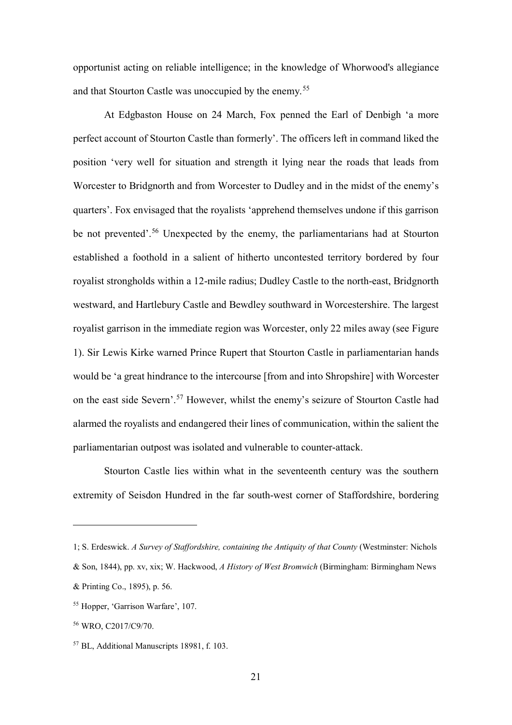opportunist acting on reliable intelligence; in the knowledge of Whorwood's allegiance and that Stourton Castle was unoccupied by the enemy.<sup>[55](#page-20-0)</sup>

At Edgbaston House on 24 March, Fox penned the Earl of Denbigh 'a more perfect account of Stourton Castle than formerly'. The officers left in command liked the position 'very well for situation and strength it lying near the roads that leads from Worcester to Bridgnorth and from Worcester to Dudley and in the midst of the enemy's quarters'. Fox envisaged that the royalists 'apprehend themselves undone if this garrison be not prevented'.<sup>[56](#page-20-1)</sup> Unexpected by the enemy, the parliamentarians had at Stourton established a foothold in a salient of hitherto uncontested territory bordered by four royalist strongholds within a 12-mile radius; Dudley Castle to the north-east, Bridgnorth westward, and Hartlebury Castle and Bewdley southward in Worcestershire. The largest royalist garrison in the immediate region was Worcester, only 22 miles away (see Figure 1). Sir Lewis Kirke warned Prince Rupert that Stourton Castle in parliamentarian hands would be 'a great hindrance to the intercourse [from and into Shropshire] with Worcester on the east side Severn'.<sup>[57](#page-20-2)</sup> However, whilst the enemy's seizure of Stourton Castle had alarmed the royalists and endangered their lines of communication, within the salient the parliamentarian outpost was isolated and vulnerable to counter-attack.

Stourton Castle lies within what in the seventeenth century was the southern extremity of Seisdon Hundred in the far south-west corner of Staffordshire, bordering

<sup>1;</sup> S. Erdeswick. *A Survey of Staffordshire, containing the Antiquity of that County* (Westminster: Nichols

<sup>&</sup>amp; Son, 1844), pp. xv, xix; W. Hackwood, *A History of West Bromwich* (Birmingham: Birmingham News

<sup>&</sup>amp; Printing Co., 1895), p. 56.

<span id="page-20-0"></span><sup>55</sup> Hopper, 'Garrison Warfare', 107.

<span id="page-20-1"></span><sup>56</sup> WRO, C2017/C9/70.

<span id="page-20-2"></span><sup>57</sup> BL, Additional Manuscripts 18981, f. 103.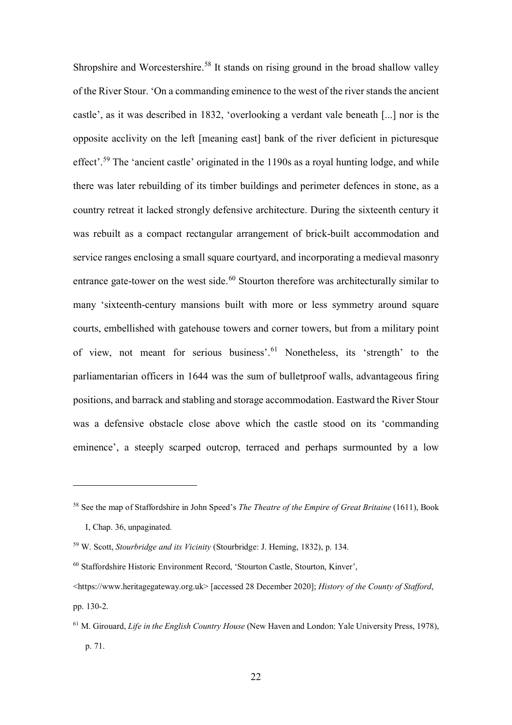Shropshire and Worcestershire.<sup>[58](#page-21-0)</sup> It stands on rising ground in the broad shallow valley of the River Stour. 'On a commanding eminence to the west of the river stands the ancient castle', as it was described in 1832, 'overlooking a verdant vale beneath [...] nor is the opposite acclivity on the left [meaning east] bank of the river deficient in picturesque effect'.<sup>[59](#page-21-1)</sup> The 'ancient castle' originated in the 1190s as a royal hunting lodge, and while there was later rebuilding of its timber buildings and perimeter defences in stone, as a country retreat it lacked strongly defensive architecture. During the sixteenth century it was rebuilt as a compact rectangular arrangement of brick-built accommodation and service ranges enclosing a small square courtyard, and incorporating a medieval masonry entrance gate-tower on the west side.<sup>[60](#page-21-2)</sup> Stourton therefore was architecturally similar to many 'sixteenth-century mansions built with more or less symmetry around square courts, embellished with gatehouse towers and corner towers, but from a military point of view, not meant for serious business'. [61](#page-21-3) Nonetheless, its 'strength' to the parliamentarian officers in 1644 was the sum of bulletproof walls, advantageous firing positions, and barrack and stabling and storage accommodation. Eastward the River Stour was a defensive obstacle close above which the castle stood on its 'commanding eminence', a steeply scarped outcrop, terraced and perhaps surmounted by a low

<span id="page-21-0"></span><sup>58</sup> See the map of Staffordshire in John Speed's *The Theatre of the Empire of Great Britaine* (1611), Book I, Chap. 36, unpaginated.

<span id="page-21-1"></span><sup>59</sup> W. Scott, *Stourbridge and its Vicinity* (Stourbridge: J. Heming, 1832), p. 134.

<span id="page-21-2"></span><sup>60</sup> Staffordshire Historic Environment Record, 'Stourton Castle, Stourton, Kinver',

<sup>&</sup>lt;https://www.heritagegateway.org.uk> [accessed 28 December 2020]; *History of the County of Stafford*, pp. 130-2.

<span id="page-21-3"></span><sup>61</sup> M. Girouard, *Life in the English Country House* (New Haven and London: Yale University Press, 1978), p. 71.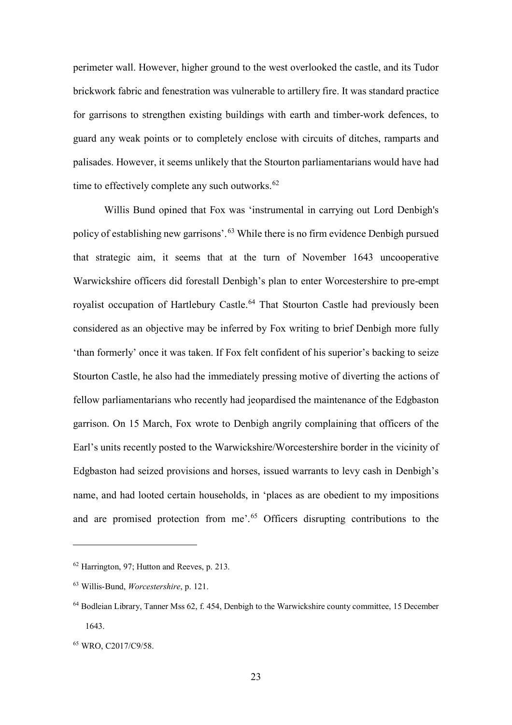perimeter wall. However, higher ground to the west overlooked the castle, and its Tudor brickwork fabric and fenestration was vulnerable to artillery fire. It was standard practice for garrisons to strengthen existing buildings with earth and timber-work defences, to guard any weak points or to completely enclose with circuits of ditches, ramparts and palisades. However, it seems unlikely that the Stourton parliamentarians would have had time to effectively complete any such outworks. $62$ 

Willis Bund opined that Fox was 'instrumental in carrying out Lord Denbigh's policy of establishing new garrisons'.<sup>[63](#page-22-1)</sup> While there is no firm evidence Denbigh pursued that strategic aim, it seems that at the turn of November 1643 uncooperative Warwickshire officers did forestall Denbigh's plan to enter Worcestershire to pre-empt royalist occupation of Hartlebury Castle.<sup>[64](#page-22-2)</sup> That Stourton Castle had previously been considered as an objective may be inferred by Fox writing to brief Denbigh more fully 'than formerly' once it was taken. If Fox felt confident of his superior's backing to seize Stourton Castle, he also had the immediately pressing motive of diverting the actions of fellow parliamentarians who recently had jeopardised the maintenance of the Edgbaston garrison. On 15 March, Fox wrote to Denbigh angrily complaining that officers of the Earl's units recently posted to the Warwickshire/Worcestershire border in the vicinity of Edgbaston had seized provisions and horses, issued warrants to levy cash in Denbigh's name, and had looted certain households, in 'places as are obedient to my impositions and are promised protection from me'.<sup>[65](#page-22-3)</sup> Officers disrupting contributions to the

<span id="page-22-0"></span><sup>62</sup> Harrington, 97; Hutton and Reeves, p. 213.

<span id="page-22-1"></span><sup>63</sup> Willis-Bund, *Worcestershire*, p. 121.

<span id="page-22-2"></span><sup>64</sup> Bodleian Library, Tanner Mss 62, f. 454, Denbigh to the Warwickshire county committee, 15 December 1643.

<span id="page-22-3"></span><sup>65</sup> WRO, C2017/C9/58.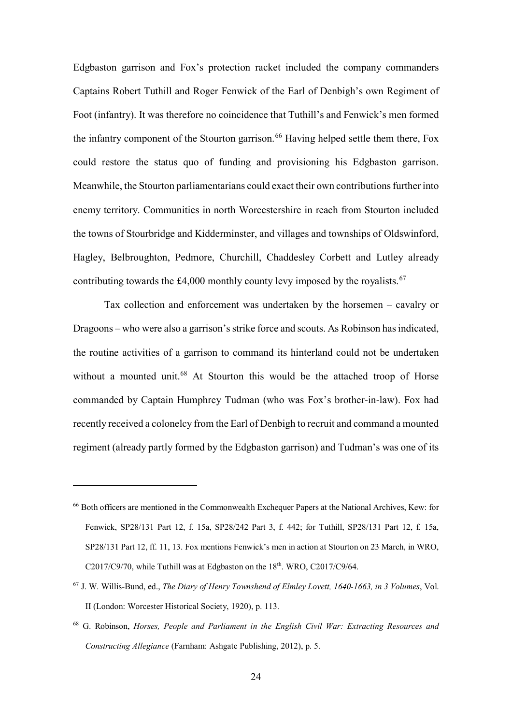Edgbaston garrison and Fox's protection racket included the company commanders Captains Robert Tuthill and Roger Fenwick of the Earl of Denbigh's own Regiment of Foot (infantry). It was therefore no coincidence that Tuthill's and Fenwick's men formed the infantry component of the Stourton garrison.<sup>[66](#page-23-0)</sup> Having helped settle them there, Fox could restore the status quo of funding and provisioning his Edgbaston garrison. Meanwhile, the Stourton parliamentarians could exact their own contributions further into enemy territory. Communities in north Worcestershire in reach from Stourton included the towns of Stourbridge and Kidderminster, and villages and townships of Oldswinford, Hagley, Belbroughton, Pedmore, Churchill, Chaddesley Corbett and Lutley already contributing towards the £4,000 monthly county levy imposed by the royalists.<sup>[67](#page-23-1)</sup>

Tax collection and enforcement was undertaken by the horsemen – cavalry or Dragoons – who were also a garrison's strike force and scouts. As Robinson has indicated, the routine activities of a garrison to command its hinterland could not be undertaken without a mounted unit.<sup>[68](#page-23-2)</sup> At Stourton this would be the attached troop of Horse commanded by Captain Humphrey Tudman (who was Fox's brother-in-law). Fox had recently received a colonelcy from the Earl of Denbigh to recruit and command a mounted regiment (already partly formed by the Edgbaston garrison) and Tudman's was one of its

<span id="page-23-0"></span><sup>66</sup> Both officers are mentioned in the Commonwealth Exchequer Papers at the National Archives, Kew: for Fenwick, SP28/131 Part 12, f. 15a, SP28/242 Part 3, f. 442; for Tuthill, SP28/131 Part 12, f. 15a, SP28/131 Part 12, ff. 11, 13. Fox mentions Fenwick's men in action at Stourton on 23 March, in WRO, C2017/C9/70, while Tuthill was at Edgbaston on the  $18<sup>th</sup>$ . WRO, C2017/C9/64.

<span id="page-23-1"></span><sup>67</sup> J. W. Willis-Bund, ed., *The Diary of Henry Townshend of Elmley Lovett, 1640-1663, in 3 Volumes*, Vol. II (London: Worcester Historical Society, 1920), p. 113.

<span id="page-23-2"></span><sup>68</sup> G. Robinson, *Horses, People and Parliament in the English Civil War: Extracting Resources and Constructing Allegiance* (Farnham: Ashgate Publishing, 2012), p. 5.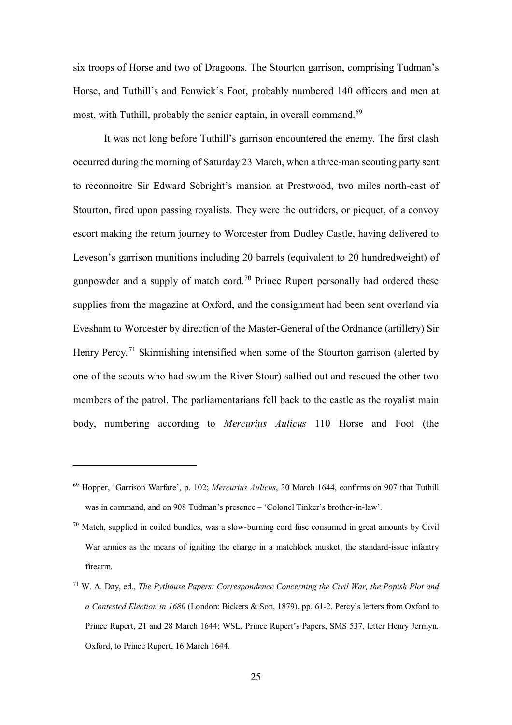six troops of Horse and two of Dragoons. The Stourton garrison, comprising Tudman's Horse, and Tuthill's and Fenwick's Foot, probably numbered 140 officers and men at most, with Tuthill, probably the senior captain, in overall command.<sup>[69](#page-24-0)</sup>

It was not long before Tuthill's garrison encountered the enemy. The first clash occurred during the morning of Saturday 23 March, when a three-man scouting party sent to reconnoitre Sir Edward Sebright's mansion at Prestwood, two miles north-east of Stourton, fired upon passing royalists. They were the outriders, or picquet, of a convoy escort making the return journey to Worcester from Dudley Castle, having delivered to Leveson's garrison munitions including 20 barrels (equivalent to 20 hundredweight) of gunpowder and a supply of match cord.<sup>[70](#page-24-1)</sup> Prince Rupert personally had ordered these supplies from the magazine at Oxford, and the consignment had been sent overland via Evesham to Worcester by direction of the Master-General of the Ordnance (artillery) Sir Henry Percy.<sup>[71](#page-24-2)</sup> Skirmishing intensified when some of the Stourton garrison (alerted by one of the scouts who had swum the River Stour) sallied out and rescued the other two members of the patrol. The parliamentarians fell back to the castle as the royalist main body, numbering according to *Mercurius Aulicus* 110 Horse and Foot (the

<span id="page-24-0"></span><sup>69</sup> Hopper, 'Garrison Warfare', p. 102; *Mercurius Aulicus*, 30 March 1644, confirms on 907 that Tuthill was in command, and on 908 Tudman's presence – 'Colonel Tinker's brother-in-law'.

<span id="page-24-1"></span> $70$  Match, supplied in coiled bundles, was a slow-burning cord fuse consumed in great amounts by Civil War armies as the means of igniting the charge in a matchlock musket, the standard-issue infantry firearm.

<span id="page-24-2"></span><sup>71</sup> W. A. Day, ed., *The Pythouse Papers: Correspondence Concerning the Civil War, the Popish Plot and a Contested Election in 1680* (London: Bickers & Son, 1879), pp. 61-2, Percy's letters from Oxford to Prince Rupert, 21 and 28 March 1644; WSL, Prince Rupert's Papers, SMS 537, letter Henry Jermyn, Oxford, to Prince Rupert, 16 March 1644.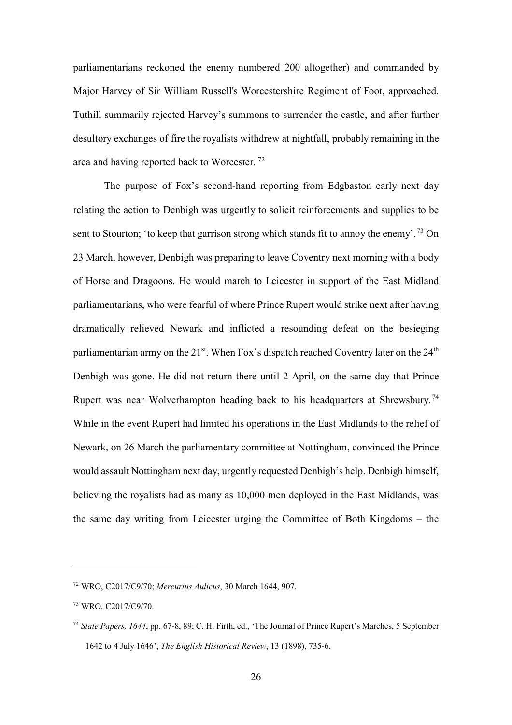parliamentarians reckoned the enemy numbered 200 altogether) and commanded by Major Harvey of Sir William Russell's Worcestershire Regiment of Foot, approached. Tuthill summarily rejected Harvey's summons to surrender the castle, and after further desultory exchanges of fire the royalists withdrew at nightfall, probably remaining in the area and having reported back to Worcester. [72](#page-25-0)

The purpose of Fox's second-hand reporting from Edgbaston early next day relating the action to Denbigh was urgently to solicit reinforcements and supplies to be sent to Stourton; 'to keep that garrison strong which stands fit to annoy the enemy'.<sup>[73](#page-25-1)</sup> On 23 March, however, Denbigh was preparing to leave Coventry next morning with a body of Horse and Dragoons. He would march to Leicester in support of the East Midland parliamentarians, who were fearful of where Prince Rupert would strike next after having dramatically relieved Newark and inflicted a resounding defeat on the besieging parliamentarian army on the  $21^{st}$ . When Fox's dispatch reached Coventry later on the  $24^{th}$ Denbigh was gone. He did not return there until 2 April, on the same day that Prince Rupert was near Wolverhampton heading back to his headquarters at Shrewsbury.<sup>[74](#page-25-2)</sup> While in the event Rupert had limited his operations in the East Midlands to the relief of Newark, on 26 March the parliamentary committee at Nottingham, convinced the Prince would assault Nottingham next day, urgently requested Denbigh's help. Denbigh himself, believing the royalists had as many as 10,000 men deployed in the East Midlands, was the same day writing from Leicester urging the Committee of Both Kingdoms – the

<span id="page-25-0"></span><sup>72</sup> WRO, C2017/C9/70; *Mercurius Aulicus*, 30 March 1644, 907.

<span id="page-25-1"></span><sup>73</sup> WRO, C2017/C9/70.

<span id="page-25-2"></span><sup>74</sup> *State Papers, 1644*, pp. 67-8, 89; C. H. Firth, ed., 'The Journal of Prince Rupert's Marches, 5 September 1642 to 4 July 1646', *The English Historical Review*, 13 (1898), 735-6.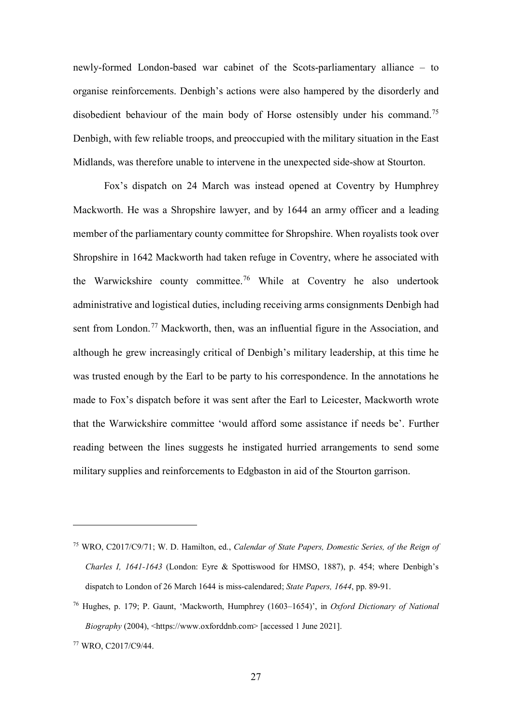newly-formed London-based war cabinet of the Scots-parliamentary alliance – to organise reinforcements. Denbigh's actions were also hampered by the disorderly and disobedient behaviour of the main body of Horse ostensibly under his command.<sup>[75](#page-26-0)</sup> Denbigh, with few reliable troops, and preoccupied with the military situation in the East Midlands, was therefore unable to intervene in the unexpected side-show at Stourton.

Fox's dispatch on 24 March was instead opened at Coventry by Humphrey Mackworth. He was a Shropshire lawyer, and by 1644 an army officer and a leading member of the parliamentary county committee for Shropshire. When royalists took over Shropshire in 1642 Mackworth had taken refuge in Coventry, where he associated with the Warwickshire county committee.[76](#page-26-1) While at Coventry he also undertook administrative and logistical duties, including receiving arms consignments Denbigh had sent from London.<sup>[77](#page-26-2)</sup> Mackworth, then, was an influential figure in the Association, and although he grew increasingly critical of Denbigh's military leadership, at this time he was trusted enough by the Earl to be party to his correspondence. In the annotations he made to Fox's dispatch before it was sent after the Earl to Leicester, Mackworth wrote that the Warwickshire committee 'would afford some assistance if needs be'. Further reading between the lines suggests he instigated hurried arrangements to send some military supplies and reinforcements to Edgbaston in aid of the Stourton garrison.

<span id="page-26-0"></span><sup>75</sup> WRO, C2017/C9/71; W. D. Hamilton, ed., *Calendar of State Papers, Domestic Series, of the Reign of Charles I, 1641-1643* (London: Eyre & Spottiswood for HMSO, 1887), p. 454; where Denbigh's dispatch to London of 26 March 1644 is miss-calendared; *State Papers, 1644*, pp. 89-91.

<span id="page-26-1"></span><sup>76</sup> Hughes, p. 179; P. Gaunt, 'Mackworth, Humphrey (1603–1654)', in *Oxford Dictionary of National Biography* (2004), <https://www.oxforddnb.com> [accessed 1 June 2021].

<span id="page-26-2"></span><sup>77</sup> WRO, C2017/C9/44.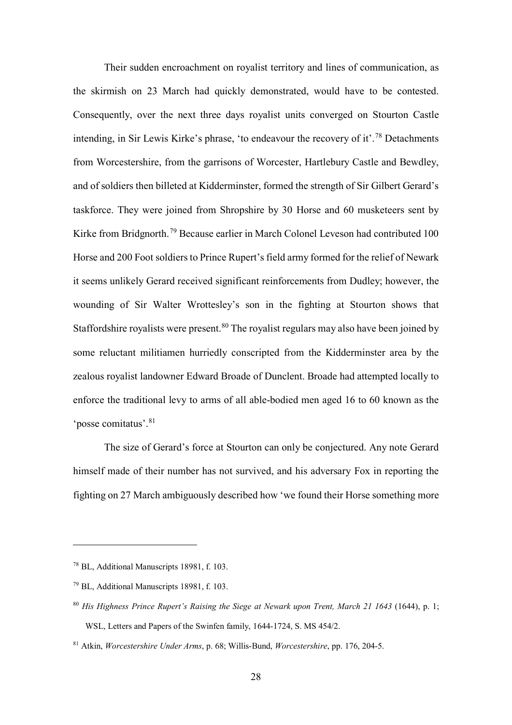Their sudden encroachment on royalist territory and lines of communication, as the skirmish on 23 March had quickly demonstrated, would have to be contested. Consequently, over the next three days royalist units converged on Stourton Castle intending, in Sir Lewis Kirke's phrase, 'to endeavour the recovery of it'.<sup>[78](#page-27-0)</sup> Detachments from Worcestershire, from the garrisons of Worcester, Hartlebury Castle and Bewdley, and of soldiers then billeted at Kidderminster, formed the strength of Sir Gilbert Gerard's taskforce. They were joined from Shropshire by 30 Horse and 60 musketeers sent by Kirke from Bridgnorth.<sup>[79](#page-27-1)</sup> Because earlier in March Colonel Leveson had contributed 100 Horse and 200 Foot soldiers to Prince Rupert's field army formed for the relief of Newark it seems unlikely Gerard received significant reinforcements from Dudley; however, the wounding of Sir Walter Wrottesley's son in the fighting at Stourton shows that Staffordshire royalists were present.<sup>[80](#page-27-2)</sup> The royalist regulars may also have been joined by some reluctant militiamen hurriedly conscripted from the Kidderminster area by the zealous royalist landowner Edward Broade of Dunclent. Broade had attempted locally to enforce the traditional levy to arms of all able-bodied men aged 16 to 60 known as the 'posse comitatus'.[81](#page-27-3) 

 The size of Gerard's force at Stourton can only be conjectured. Any note Gerard himself made of their number has not survived, and his adversary Fox in reporting the fighting on 27 March ambiguously described how 'we found their Horse something more

<span id="page-27-0"></span><sup>78</sup> BL, Additional Manuscripts 18981, f. 103.

<span id="page-27-1"></span><sup>79</sup> BL, Additional Manuscripts 18981, f. 103.

<span id="page-27-2"></span><sup>80</sup> *His Highness Prince Rupert's Raising the Siege at Newark upon Trent, March 21 1643* (1644), p. 1; WSL, Letters and Papers of the Swinfen family, 1644-1724, S. MS 454/2.

<span id="page-27-3"></span><sup>81</sup> Atkin, *Worcestershire Under Arms*, p. 68; Willis-Bund, *Worcestershire*, pp. 176, 204-5.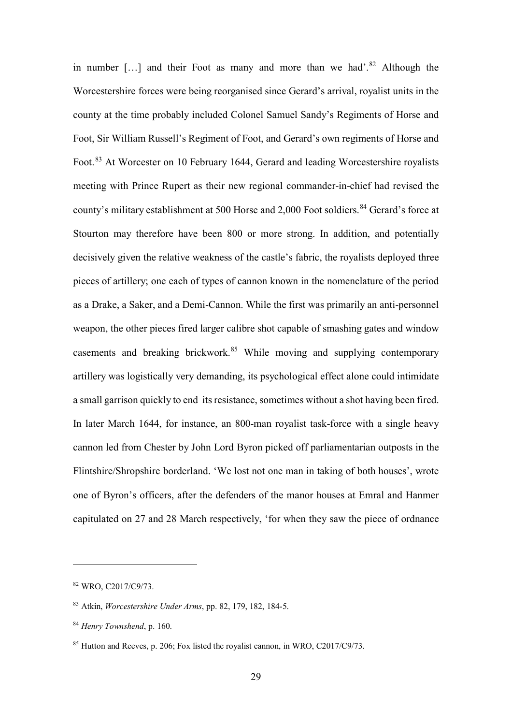in number [...] and their Foot as many and more than we had'.<sup>[82](#page-28-0)</sup> Although the Worcestershire forces were being reorganised since Gerard's arrival, royalist units in the county at the time probably included Colonel Samuel Sandy's Regiments of Horse and Foot, Sir William Russell's Regiment of Foot, and Gerard's own regiments of Horse and Foot.<sup>[83](#page-28-1)</sup> At Worcester on 10 February 1644, Gerard and leading Worcestershire royalists meeting with Prince Rupert as their new regional commander-in-chief had revised the county's military establishment at 500 Horse and 2,000 Foot soldiers.<sup>[84](#page-28-2)</sup> Gerard's force at Stourton may therefore have been 800 or more strong. In addition, and potentially decisively given the relative weakness of the castle's fabric, the royalists deployed three pieces of artillery; one each of types of cannon known in the nomenclature of the period as a Drake, a Saker, and a Demi-Cannon. While the first was primarily an anti-personnel weapon, the other pieces fired larger calibre shot capable of smashing gates and window casements and breaking brickwork. $85$  While moving and supplying contemporary artillery was logistically very demanding, its psychological effect alone could intimidate a small garrison quickly to end its resistance, sometimes without a shot having been fired. In later March 1644, for instance, an 800-man royalist task-force with a single heavy cannon led from Chester by John Lord Byron picked off parliamentarian outposts in the Flintshire/Shropshire borderland. 'We lost not one man in taking of both houses', wrote one of Byron's officers, after the defenders of the manor houses at Emral and Hanmer capitulated on 27 and 28 March respectively, 'for when they saw the piece of ordnance

<span id="page-28-0"></span><sup>82</sup> WRO, C2017/C9/73.

<span id="page-28-1"></span><sup>83</sup> Atkin, *Worcestershire Under Arms*, pp. 82, 179, 182, 184-5.

<span id="page-28-2"></span><sup>84</sup> *Henry Townshend*, p. 160.

<span id="page-28-3"></span> $85$  Hutton and Reeves, p. 206; Fox listed the royalist cannon, in WRO, C2017/C9/73.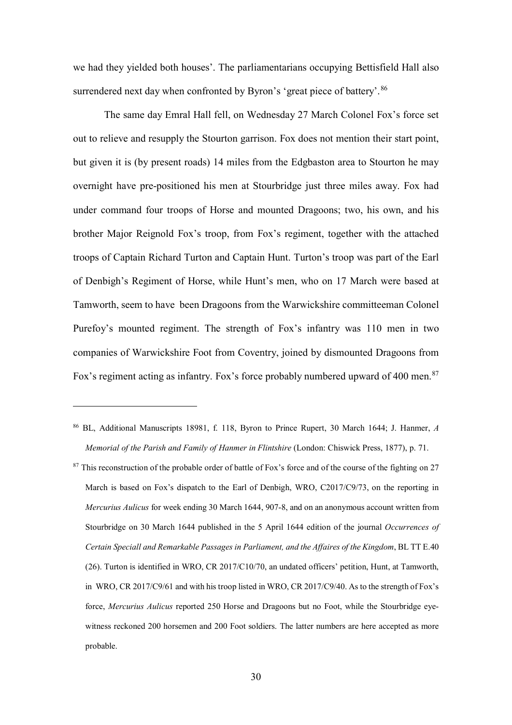we had they yielded both houses'. The parliamentarians occupying Bettisfield Hall also surrendered next day when confronted by Byron's 'great piece of battery'. [86](#page-29-0)

The same day Emral Hall fell, on Wednesday 27 March Colonel Fox's force set out to relieve and resupply the Stourton garrison. Fox does not mention their start point, but given it is (by present roads) 14 miles from the Edgbaston area to Stourton he may overnight have pre-positioned his men at Stourbridge just three miles away. Fox had under command four troops of Horse and mounted Dragoons; two, his own, and his brother Major Reignold Fox's troop, from Fox's regiment, together with the attached troops of Captain Richard Turton and Captain Hunt. Turton's troop was part of the Earl of Denbigh's Regiment of Horse, while Hunt's men, who on 17 March were based at Tamworth, seem to have been Dragoons from the Warwickshire committeeman Colonel Purefoy's mounted regiment. The strength of Fox's infantry was 110 men in two companies of Warwickshire Foot from Coventry, joined by dismounted Dragoons from Fox's regiment acting as infantry. Fox's force probably numbered upward of 400 men.<sup>[87](#page-29-1)</sup>

<span id="page-29-0"></span><sup>86</sup> BL, Additional Manuscripts 18981, f. 118, Byron to Prince Rupert, 30 March 1644; J. Hanmer, *A Memorial of the Parish and Family of Hanmer in Flintshire* (London: Chiswick Press, 1877), p. 71.

<span id="page-29-1"></span><sup>&</sup>lt;sup>87</sup> This reconstruction of the probable order of battle of Fox's force and of the course of the fighting on 27 March is based on Fox's dispatch to the Earl of Denbigh, WRO, C2017/C9/73, on the reporting in *Mercurius Aulicus* for week ending 30 March 1644, 907-8, and on an anonymous account written from Stourbridge on 30 March 1644 published in the 5 April 1644 edition of the journal *Occurrences of Certain Speciall and Remarkable Passages in Parliament, and the Affaires of the Kingdom*, BL TT E.40 (26). Turton is identified in WRO, CR 2017/C10/70, an undated officers' petition, Hunt, at Tamworth, in WRO, CR 2017/C9/61 and with his troop listed in WRO, CR 2017/C9/40. As to the strength of Fox's force, *Mercurius Aulicus* reported 250 Horse and Dragoons but no Foot, while the Stourbridge eyewitness reckoned 200 horsemen and 200 Foot soldiers. The latter numbers are here accepted as more probable.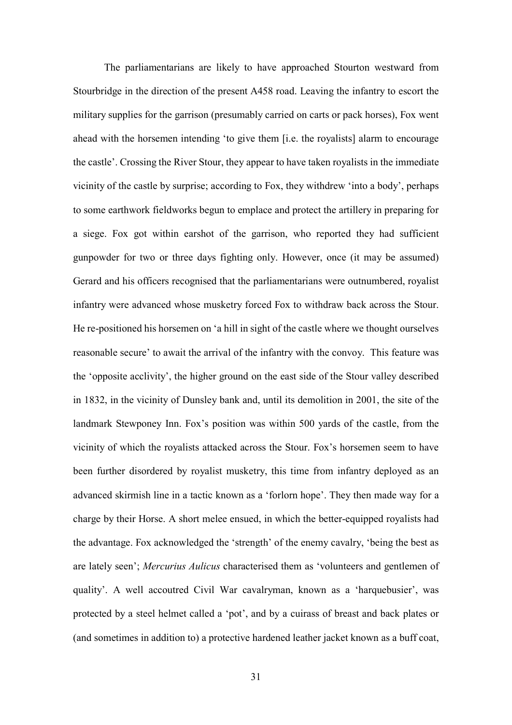The parliamentarians are likely to have approached Stourton westward from Stourbridge in the direction of the present A458 road. Leaving the infantry to escort the military supplies for the garrison (presumably carried on carts or pack horses), Fox went ahead with the horsemen intending 'to give them [i.e. the royalists] alarm to encourage the castle'. Crossing the River Stour, they appear to have taken royalists in the immediate vicinity of the castle by surprise; according to Fox, they withdrew 'into a body', perhaps to some earthwork fieldworks begun to emplace and protect the artillery in preparing for a siege. Fox got within earshot of the garrison, who reported they had sufficient gunpowder for two or three days fighting only. However, once (it may be assumed) Gerard and his officers recognised that the parliamentarians were outnumbered, royalist infantry were advanced whose musketry forced Fox to withdraw back across the Stour. He re-positioned his horsemen on 'a hill in sight of the castle where we thought ourselves reasonable secure' to await the arrival of the infantry with the convoy. This feature was the 'opposite acclivity', the higher ground on the east side of the Stour valley described in 1832, in the vicinity of Dunsley bank and, until its demolition in 2001, the site of the landmark Stewponey Inn. Fox's position was within 500 yards of the castle, from the vicinity of which the royalists attacked across the Stour. Fox's horsemen seem to have been further disordered by royalist musketry, this time from infantry deployed as an advanced skirmish line in a tactic known as a 'forlorn hope'. They then made way for a charge by their Horse. A short melee ensued, in which the better-equipped royalists had the advantage. Fox acknowledged the 'strength' of the enemy cavalry, 'being the best as are lately seen'; *Mercurius Aulicus* characterised them as 'volunteers and gentlemen of quality'. A well accoutred Civil War cavalryman, known as a 'harquebusier', was protected by a steel helmet called a 'pot', and by a cuirass of breast and back plates or (and sometimes in addition to) a protective hardened leather jacket known as a buff coat,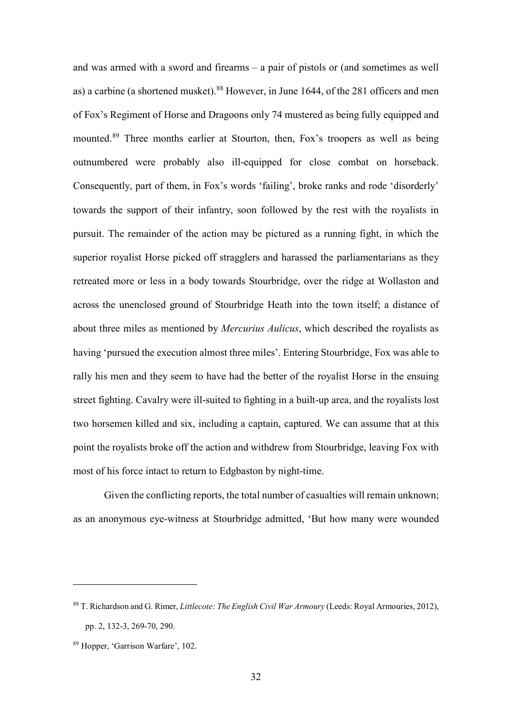and was armed with a sword and firearms – a pair of pistols or (and sometimes as well as) a carbine (a shortened musket).<sup>[88](#page-31-0)</sup> However, in June 1644, of the 281 officers and men of Fox's Regiment of Horse and Dragoons only 74 mustered as being fully equipped and mounted.<sup>[89](#page-31-1)</sup> Three months earlier at Stourton, then, Fox's troopers as well as being outnumbered were probably also ill-equipped for close combat on horseback. Consequently, part of them, in Fox's words 'failing', broke ranks and rode 'disorderly' towards the support of their infantry, soon followed by the rest with the royalists in pursuit. The remainder of the action may be pictured as a running fight, in which the superior royalist Horse picked off stragglers and harassed the parliamentarians as they retreated more or less in a body towards Stourbridge, over the ridge at Wollaston and across the unenclosed ground of Stourbridge Heath into the town itself; a distance of about three miles as mentioned by *Mercurius Aulicus*, which described the royalists as having 'pursued the execution almost three miles'. Entering Stourbridge, Fox was able to rally his men and they seem to have had the better of the royalist Horse in the ensuing street fighting. Cavalry were ill-suited to fighting in a built-up area, and the royalists lost two horsemen killed and six, including a captain, captured. We can assume that at this point the royalists broke off the action and withdrew from Stourbridge, leaving Fox with most of his force intact to return to Edgbaston by night-time.

Given the conflicting reports, the total number of casualties will remain unknown; as an anonymous eye-witness at Stourbridge admitted, 'But how many were wounded

<span id="page-31-0"></span><sup>88</sup> T. Richardson and G. Rimer, *Littlecote: The English Civil War Armoury* (Leeds: Royal Armouries, 2012), pp. 2, 132-3, 269-70, 290.

<span id="page-31-1"></span><sup>89</sup> Hopper, 'Garrison Warfare', 102.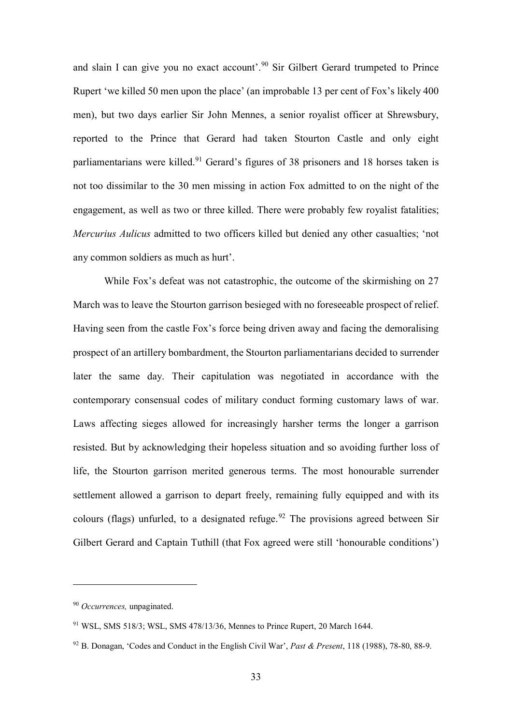and slain I can give you no exact account'.<sup>[90](#page-32-0)</sup> Sir Gilbert Gerard trumpeted to Prince Rupert 'we killed 50 men upon the place' (an improbable 13 per cent of Fox's likely 400 men), but two days earlier Sir John Mennes, a senior royalist officer at Shrewsbury, reported to the Prince that Gerard had taken Stourton Castle and only eight parliamentarians were killed.<sup>[91](#page-32-1)</sup> Gerard's figures of 38 prisoners and 18 horses taken is not too dissimilar to the 30 men missing in action Fox admitted to on the night of the engagement, as well as two or three killed. There were probably few royalist fatalities; *Mercurius Aulicus* admitted to two officers killed but denied any other casualties; 'not any common soldiers as much as hurt'.

While Fox's defeat was not catastrophic, the outcome of the skirmishing on 27 March was to leave the Stourton garrison besieged with no foreseeable prospect of relief. Having seen from the castle Fox's force being driven away and facing the demoralising prospect of an artillery bombardment, the Stourton parliamentarians decided to surrender later the same day. Their capitulation was negotiated in accordance with the contemporary consensual codes of military conduct forming customary laws of war. Laws affecting sieges allowed for increasingly harsher terms the longer a garrison resisted. But by acknowledging their hopeless situation and so avoiding further loss of life, the Stourton garrison merited generous terms. The most honourable surrender settlement allowed a garrison to depart freely, remaining fully equipped and with its colours (flags) unfurled, to a designated refuge.<sup>[92](#page-32-2)</sup> The provisions agreed between Sir Gilbert Gerard and Captain Tuthill (that Fox agreed were still 'honourable conditions')

<span id="page-32-0"></span><sup>90</sup> *Occurrences,* unpaginated.

<span id="page-32-1"></span><sup>91</sup> WSL, SMS 518/3; WSL, SMS 478/13/36, Mennes to Prince Rupert, 20 March 1644.

<span id="page-32-2"></span><sup>92</sup> B. Donagan, 'Codes and Conduct in the English Civil War', *Past & Present*, 118 (1988), 78-80, 88-9.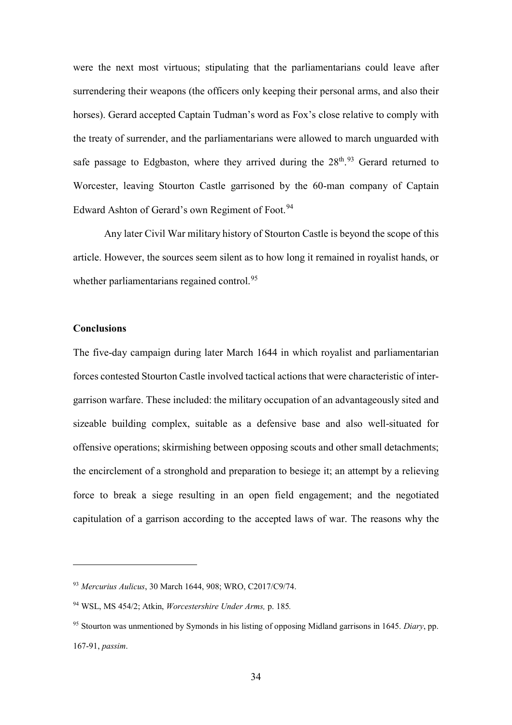were the next most virtuous; stipulating that the parliamentarians could leave after surrendering their weapons (the officers only keeping their personal arms, and also their horses). Gerard accepted Captain Tudman's word as Fox's close relative to comply with the treaty of surrender, and the parliamentarians were allowed to march unguarded with safe passage to Edgbaston, where they arrived during the  $28<sup>th</sup>$ .<sup>[93](#page-33-0)</sup> Gerard returned to Worcester, leaving Stourton Castle garrisoned by the 60-man company of Captain Edward Ashton of Gerard's own Regiment of Foot.<sup>[94](#page-33-1)</sup>

Any later Civil War military history of Stourton Castle is beyond the scope of this article. However, the sources seem silent as to how long it remained in royalist hands, or whether parliamentarians regained control.<sup>[95](#page-33-2)</sup>

#### **Conclusions**

 $\overline{a}$ 

The five-day campaign during later March 1644 in which royalist and parliamentarian forces contested Stourton Castle involved tactical actions that were characteristic of intergarrison warfare. These included: the military occupation of an advantageously sited and sizeable building complex, suitable as a defensive base and also well-situated for offensive operations; skirmishing between opposing scouts and other small detachments; the encirclement of a stronghold and preparation to besiege it; an attempt by a relieving force to break a siege resulting in an open field engagement; and the negotiated capitulation of a garrison according to the accepted laws of war. The reasons why the

<span id="page-33-0"></span><sup>93</sup> *Mercurius Aulicus*, 30 March 1644, 908; WRO, C2017/C9/74.

<span id="page-33-1"></span><sup>94</sup> WSL, MS 454/2; Atkin, *Worcestershire Under Arms,* p. 185*.*

<span id="page-33-2"></span><sup>95</sup> Stourton was unmentioned by Symonds in his listing of opposing Midland garrisons in 1645. *Diary*, pp. 167-91, *passim*.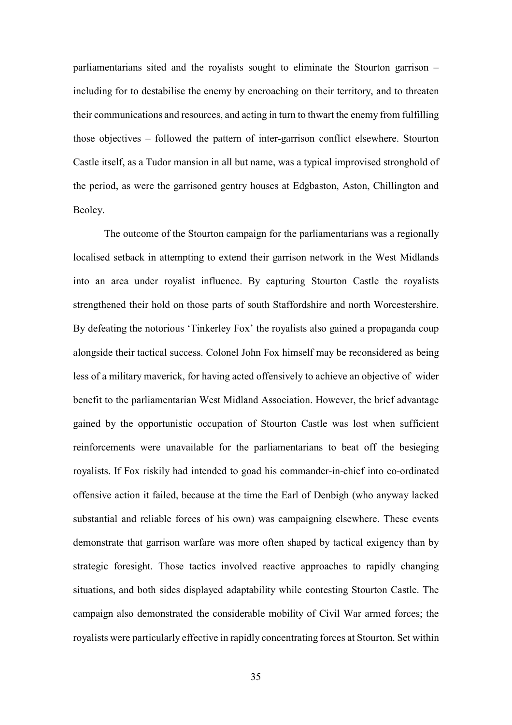parliamentarians sited and the royalists sought to eliminate the Stourton garrison – including for to destabilise the enemy by encroaching on their territory, and to threaten their communications and resources, and acting in turn to thwart the enemy from fulfilling those objectives – followed the pattern of inter-garrison conflict elsewhere. Stourton Castle itself, as a Tudor mansion in all but name, was a typical improvised stronghold of the period, as were the garrisoned gentry houses at Edgbaston, Aston, Chillington and Beoley.

The outcome of the Stourton campaign for the parliamentarians was a regionally localised setback in attempting to extend their garrison network in the West Midlands into an area under royalist influence. By capturing Stourton Castle the royalists strengthened their hold on those parts of south Staffordshire and north Worcestershire. By defeating the notorious 'Tinkerley Fox' the royalists also gained a propaganda coup alongside their tactical success. Colonel John Fox himself may be reconsidered as being less of a military maverick, for having acted offensively to achieve an objective of wider benefit to the parliamentarian West Midland Association. However, the brief advantage gained by the opportunistic occupation of Stourton Castle was lost when sufficient reinforcements were unavailable for the parliamentarians to beat off the besieging royalists. If Fox riskily had intended to goad his commander-in-chief into co-ordinated offensive action it failed, because at the time the Earl of Denbigh (who anyway lacked substantial and reliable forces of his own) was campaigning elsewhere. These events demonstrate that garrison warfare was more often shaped by tactical exigency than by strategic foresight. Those tactics involved reactive approaches to rapidly changing situations, and both sides displayed adaptability while contesting Stourton Castle. The campaign also demonstrated the considerable mobility of Civil War armed forces; the royalists were particularly effective in rapidly concentrating forces at Stourton. Set within